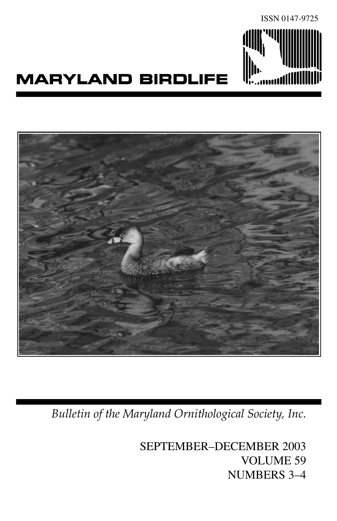

# **MARYLAND BIRDLIFE**



*Bulletin of the Maryland Ornithological Society, Inc.*

SEPTEMBER–DECEMBER 2003 VOLUME 59 NUMBERS 3–4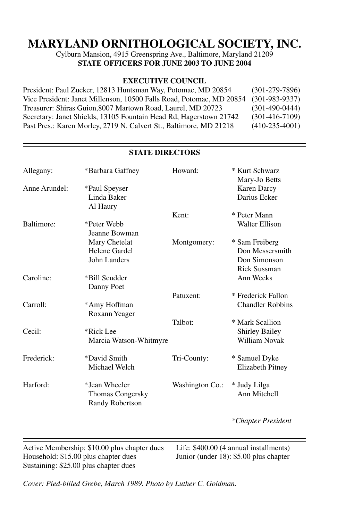# **MARYLAND ORNITHOLOGICAL SOCIETY, INC.**

Cylburn Mansion, 4915 Greenspring Ave., Baltimore, Maryland 21209 **STATE OFFICERS FOR JUNE 2003 TO JUNE 2004** 

#### **EXECUTIVE COUNCIL**

| President: Paul Zucker, 12813 Huntsman Way, Potomac, MD 20854        | $(301-279-7896)$ |
|----------------------------------------------------------------------|------------------|
| Vice President: Janet Millenson, 10500 Falls Road, Potomac, MD 20854 | $(301-983-9337)$ |
| Treasurer: Shiras Guion.8007 Martown Road, Laurel, MD 20723          | $(301-490-0444)$ |
| Secretary: Janet Shields, 13105 Fountain Head Rd, Hagerstown 21742   | $(301-416-7109)$ |
| Past Pres.: Karen Morley, 2719 N. Calvert St., Baltimore, MD 21218   | $(410-235-4001)$ |

| Allegany:         | *Barbara Gaffney       | Howard:         | * Kurt Schwarz<br>Mary-Jo Betts |
|-------------------|------------------------|-----------------|---------------------------------|
| Anne Arundel:     | *Paul Speyser          |                 | <b>Karen Darcy</b>              |
|                   | Linda Baker            |                 | Darius Ecker                    |
|                   | Al Haury               |                 |                                 |
|                   |                        | Kent:           | * Peter Mann                    |
| <b>Baltimore:</b> | *Peter Webb            |                 | Walter Ellison                  |
|                   | Jeanne Bowman          |                 |                                 |
|                   | Mary Chetelat          | Montgomery:     | * Sam Freiberg                  |
|                   | Helene Gardel          |                 | Don Messersmith                 |
|                   | John Landers           |                 | Don Simonson                    |
|                   |                        |                 | <b>Rick Sussman</b>             |
| Caroline:         | *Bill Scudder          |                 | Ann Weeks                       |
|                   | Danny Poet             |                 |                                 |
|                   |                        | Patuxent:       | * Frederick Fallon              |
| Carroll:          | *Amy Hoffman           |                 | <b>Chandler Robbins</b>         |
|                   | Roxann Yeager          |                 |                                 |
|                   |                        | Talbot:         | * Mark Scallion                 |
| Cecil:            | *Rick Lee              |                 | <b>Shirley Bailey</b>           |
|                   | Marcia Watson-Whitmyre |                 | William Novak                   |
|                   |                        |                 |                                 |
| Frederick:        | *David Smith           | Tri-County:     | * Samuel Dyke                   |
|                   | Michael Welch          |                 | Elizabeth Pitney                |
| Harford:          | *Jean Wheeler          | Washington Co.: | * Judy Lilga                    |
|                   | Thomas Congersky       |                 | Ann Mitchell                    |
|                   | <b>Randy Robertson</b> |                 |                                 |
|                   |                        |                 |                                 |
|                   |                        |                 | *Chapter President              |
|                   |                        |                 |                                 |

**STATE DIRECTORS**

Active Membership: \$10.00 plus chapter dues Life: \$400.00 (4 annual installments)<br>Household: \$15.00 plus chapter dues Junior (under 18): \$5.00 plus chapter Household:  $$15.00$  plus chapter dues Sustaining: \$25.00 plus chapter dues

 $\overline{a}$ 

*Cover: Pied-billed Grebe, March 1989. Photo by Luther C. Goldman.*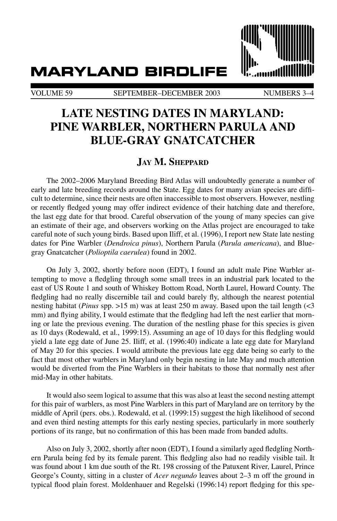## **MARYLAND BIRDLIFE**

VOLUME 59 SEPTEMBER–DECEMBER 2003 NUMBERS 3-4

## **Late Nesting Dates in Maryland: Pine Warbler, Northern Parula and Blue-Gray Gnatcatcher**

### **Jay M. Sheppard**

The 2002–2006 Maryland Breeding Bird Atlas will undoubtedly generate a number of early and late breeding records around the State. Egg dates for many avian species are difficult to determine, since their nests are often inaccessible to most observers. However, nestling or recently fledged young may offer indirect evidence of their hatching date and therefore, the last egg date for that brood. Careful observation of the young of many species can give an estimate of their age, and observers working on the Atlas project are encouraged to take careful note of such young birds. Based upon Iliff, et al. (1996), I report new State late nesting dates for Pine Warbler (*Dendroica pinus*), Northern Parula (*Parula americana*), and Bluegray Gnatcatcher (*Polioptila caerulea*) found in 2002.

On July 3, 2002, shortly before noon (EDT), I found an adult male Pine Warbler attempting to move a fledgling through some small trees in an industrial park located to the east of US Route 1 and south of Whiskey Bottom Road, North Laurel, Howard County. The fledgling had no really discernible tail and could barely fly, although the nearest potential nesting habitat (*Pinus* spp. >15 m) was at least 250 m away. Based upon the tail length (<3 mm) and flying ability, I would estimate that the fledgling had left the nest earlier that morning or late the previous evening. The duration of the nestling phase for this species is given as 10 days (Rodewald, et al., 1999:15). Assuming an age of 10 days for this fledgling would yield a late egg date of June 25. Iliff, et al. (1996:40) indicate a late egg date for Maryland of May 20 for this species. I would attribute the previous late egg date being so early to the fact that most other warblers in Maryland only begin nesting in late May and much attention would be diverted from the Pine Warblers in their habitats to those that normally nest after mid-May in other habitats.

It would also seem logical to assume that this was also at least the second nesting attempt for this pair of warblers, as most Pine Warblers in this part of Maryland are on territory by the middle of April (pers. obs.). Rodewald, et al. (1999:15) suggest the high likelihood of second and even third nesting attempts for this early nesting species, particularly in more southerly portions of its range, but no confirmation of this has been made from banded adults.

Also on July 3, 2002, shortly after noon (EDT), I found a similarly aged fledgling Northern Parula being fed by its female parent. This fledgling also had no readily visible tail. It was found about 1 km due south of the Rt. 198 crossing of the Patuxent River, Laurel, Prince George's County, sitting in a cluster of *Acer negundo* leaves about 2–3 m off the ground in typical flood plain forest. Moldenhauer and Regelski (1996:14) report fledging for this spe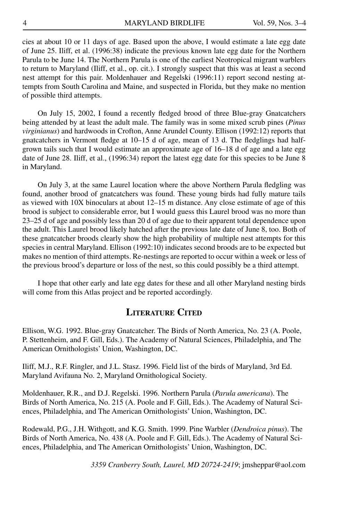cies at about 10 or 11 days of age. Based upon the above, I would estimate a late egg date of June 25. Iliff, et al. (1996:38) indicate the previous known late egg date for the Northern Parula to be June 14. The Northern Parula is one of the earliest Neotropical migrant warblers to return to Maryland (Iliff, et al., op. cit.). I strongly suspect that this was at least a second nest attempt for this pair. Moldenhauer and Regelski (1996:11) report second nesting attempts from South Carolina and Maine, and suspected in Florida, but they make no mention of possible third attempts.

On July 15, 2002, I found a recently fledged brood of three Blue-gray Gnatcatchers being attended by at least the adult male. The family was in some mixed scrub pines (*Pinus virginianus*) and hardwoods in Crofton, Anne Arundel County. Ellison (1992:12) reports that gnatcatchers in Vermont fledge at 10–15 d of age, mean of 13 d. The fledglings had halfgrown tails such that I would estimate an approximate age of 16–18 d of age and a late egg date of June 28. Iliff, et al., (1996:34) report the latest egg date for this species to be June 8 in Maryland.

On July 3, at the same Laurel location where the above Northern Parula fledgling was found, another brood of gnatcatchers was found. These young birds had fully mature tails as viewed with 10X binoculars at about 12–15 m distance. Any close estimate of age of this brood is subject to considerable error, but I would guess this Laurel brood was no more than 23–25 d of age and possibly less than 20 d of age due to their apparent total dependence upon the adult. This Laurel brood likely hatched after the previous late date of June 8, too. Both of these gnatcatcher broods clearly show the high probability of multiple nest attempts for this species in central Maryland. Ellison (1992:10) indicates second broods are to be expected but makes no mention of third attempts. Re-nestings are reported to occur within a week or less of the previous brood's departure or loss of the nest, so this could possibly be a third attempt.

I hope that other early and late egg dates for these and all other Maryland nesting birds will come from this Atlas project and be reported accordingly.

#### **Literature Cited**

Ellison, W.G. 1992. Blue-gray Gnatcatcher. The Birds of North America, No. 23 (A. Poole, P. Stettenheim, and F. Gill, Eds.). The Academy of Natural Sciences, Philadelphia, and The American Ornithologists' Union, Washington, DC.

Iliff, M.J., R.F. Ringler, and J.L. Stasz. 1996. Field list of the birds of Maryland, 3rd Ed. Maryland Avifauna No. 2, Maryland Ornithological Society.

Moldenhauer, R.R., and D.J. Regelski. 1996. Northern Parula (*Parula americana*). The Birds of North America, No. 215 (A. Poole and F. Gill, Eds.). The Academy of Natural Sciences, Philadelphia, and The American Ornithologists' Union, Washington, DC.

Rodewald, P.G., J.H. Withgott, and K.G. Smith. 1999. Pine Warbler (*Dendroica pinus*). The Birds of North America, No. 438 (A. Poole and F. Gill, Eds.). The Academy of Natural Sciences, Philadelphia, and The American Ornithologists' Union, Washington, DC.

*3359 Cranberry South, Laurel, MD 20724-2419*; jmsheppar@aol.com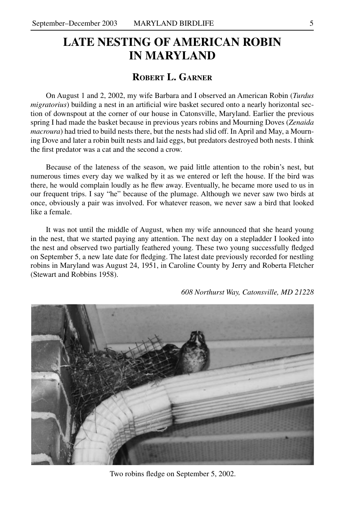## **LATE NESTING OF AMERICAN ROBIN IN MARYLAND**

#### **Robert L. Garner**

On August 1 and 2, 2002, my wife Barbara and I observed an American Robin (*Turdus migratorius*) building a nest in an artificial wire basket secured onto a nearly horizontal section of downspout at the corner of our house in Catonsville, Maryland. Earlier the previous spring I had made the basket because in previous years robins and Mourning Doves (*Zenaida macroura*) had tried to build nests there, but the nests had slid off. In April and May, a Mourning Dove and later a robin built nests and laid eggs, but predators destroyed both nests. I think the first predator was a cat and the second a crow.

Because of the lateness of the season, we paid little attention to the robin's nest, but numerous times every day we walked by it as we entered or left the house. If the bird was there, he would complain loudly as he flew away. Eventually, he became more used to us in our frequent trips. I say "he" because of the plumage. Although we never saw two birds at once, obviously a pair was involved. For whatever reason, we never saw a bird that looked like a female.

It was not until the middle of August, when my wife announced that she heard young in the nest, that we started paying any attention. The next day on a stepladder I looked into the nest and observed two partially feathered young. These two young successfully fledged on September 5, a new late date for fledging. The latest date previously recorded for nestling robins in Maryland was August 24, 1951, in Caroline County by Jerry and Roberta Fletcher (Stewart and Robbins 1958).



*608 Northurst Way, Catonsville, MD 21228*

Two robins fledge on September 5, 2002.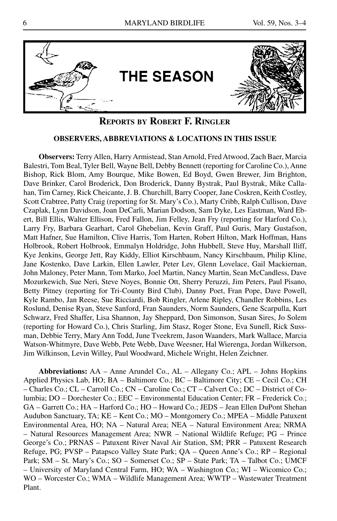

#### **Reports by Robert F. Ringler**

#### **OBSERVERS, ABBREVIATIONS & LOCATIONS IN THIS ISSUE**

**Observers:** Terry Allen, Harry Armistead, Stan Arnold, Fred Atwood, Zach Baer, Marcia Balestri, Tom Beal, Tyler Bell, Wayne Bell, Debby Bennett (reporting for Caroline Co.), Anne Bishop, Rick Blom, Amy Bourque, Mike Bowen, Ed Boyd, Gwen Brewer, Jim Brighton, Dave Brinker, Carol Broderick, Don Broderick, Danny Bystrak, Paul Bystrak, Mike Callahan, Tim Carney, Rick Cheicante, J. B. Churchill, Barry Cooper, Jane Coskren, Keith Costley, Scott Crabtree, Patty Craig (reporting for St. Mary's Co.), Marty Cribb, Ralph Cullison, Dave Czaplak, Lynn Davidson, Joan DeCarli, Marian Dodson, Sam Dyke, Les Eastman, Ward Ebert, Bill Ellis, Walter Ellison, Fred Fallon, Jim Felley, Jean Fry (reporting for Harford Co.), Larry Fry, Barbara Gearhart, Carol Ghebelian, Kevin Graff, Paul Guris, Mary Gustafson, Matt Hafner, Sue Hamilton, Clive Harris, Tom Harten, Robert Hilton, Mark Hoffman, Hans Holbrook, Robert Holbrook, Emmalyn Holdridge, John Hubbell, Steve Huy, Marshall Iliff, Kye Jenkins, George Jett, Ray Kiddy, Elliot Kirschbaum, Nancy Kirschbaum, Philip Kline, Jane Kostenko, Dave Larkin, Ellen Lawler, Peter Lev, Glenn Lovelace, Gail Mackiernan, John Maloney, Peter Mann, Tom Marko, Joel Martin, Nancy Martin, Sean McCandless, Dave Mozurkewich, Sue Neri, Steve Noyes, Bonnie Ott, Sherry Peruzzi, Jim Peters, Paul Pisano, Betty Pitney (reporting for Tri-County Bird Club), Danny Poet, Fran Pope, Dave Powell, Kyle Rambo, Jan Reese, Sue Ricciardi, Bob Ringler, Arlene Ripley, Chandler Robbins, Les Roslund, Denise Ryan, Steve Sanford, Fran Saunders, Norm Saunders, Gene Scarpulla, Kurt Schwarz, Fred Shaffer, Lisa Shannon, Jay Sheppard, Don Simonson, Susan Sires, Jo Solem (reporting for Howard Co.), Chris Starling, Jim Stasz, Roger Stone, Eva Sunell, Rick Sussman, Debbie Terry, Mary Ann Todd, June Tveekrem, Jason Waanders, Mark Wallace, Marcia Watson-Whitmyre, Dave Webb, Pete Webb, Dave Weesner, Hal Wierenga, Jordan Wilkerson, Jim Wilkinson, Levin Willey, Paul Woodward, Michele Wright, Helen Zeichner.

**Abbreviations:** AA – Anne Arundel Co., AL – Allegany Co.; APL – Johns Hopkins Applied Physics Lab, HO; BA – Baltimore Co.; BC – Baltimore City; CE – Cecil Co.; CH – Charles Co.; CL – Carroll Co.; CN – Caroline Co.; CT – Calvert Co.; DC – District of Columbia; DO – Dorchester Co.; EEC – Environmental Education Center; FR – Frederick Co.; GA – Garrett Co.; HA – Harford Co.; HO – Howard Co.; JEDS – Jean Ellen DuPont Shehan Audubon Sanctuary, TA; KE – Kent Co.; MO – Montgomery Co.; MPEA – Middle Patuxent Environmental Area, HO; NA – Natural Area; NEA – Natural Environment Area; NRMA – Natural Resources Management Area; NWR – National Wildlife Refuge; PG – Prince George's Co.; PRNAS – Patuxent River Naval Air Station, SM; PRR – Patuxent Research Refuge, PG; PVSP – Patapsco Valley State Park; QA – Queen Anne's Co.; RP – Regional Park; SM – St. Mary's Co.; SO – Somerset Co.; SP – State Park; TA – Talbot Co.; UMCF – University of Maryland Central Farm, HO; WA – Washington Co.; WI – Wicomico Co.; WO – Worcester Co.; WMA – Wildlife Management Area; WWTP – Wastewater Treatment Plant.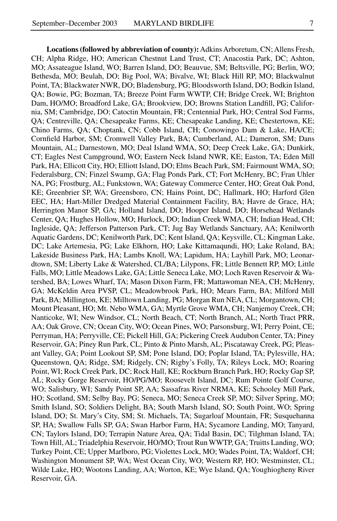**Locations (followed by abbreviation of county):** Adkins Arboretum, CN; Allens Fresh, CH; Alpha Ridge, HO; American Chestnut Land Trust, CT; Anacostia Park, DC; Ashton, MO; Assateague Island, WO; Barren Island, DO; Beauvue, SM; Beltsville, PG; Berlin, WO; Bethesda, MO; Beulah, DO; Big Pool, WA; Bivalve, WI; Black Hill RP, MO; Blackwalnut Point, TA; Blackwater NWR, DO; Bladensburg, PG; Bloodsworth Island, DO; Bodkin Island, QA; Bowie, PG; Bozman, TA; Breeze Point Farm WWTP, CH; Bridge Creek, WI; Brighton Dam, HO/MO; Broadford Lake, GA; Brookview, DO; Browns Station Landfill, PG; California, SM; Cambridge, DO; Catoctin Mountain, FR; Centennial Park, HO; Central Sod Farms, QA; Centreville, QA; Chesapeake Farms, KE; Chesapeake Landing, KE; Chestertown, KE; Chino Farms, QA; Choptank, CN; Cobb Island, CH; Conowingo Dam & Lake, HA/CE; Cornfield Harbor, SM; Cromwell Valley Park, BA; Cumberland, AL; Dameron, SM; Dans Mountain, AL; Darnestown, MO; Deal Island WMA, SO; Deep Creek Lake, GA; Dunkirk, CT; Eagles Nest Campground, WO; Eastern Neck Island NWR, KE; Easton, TA; Eden Mill Park, HA; Ellicott City, HO; Elliott Island, DO; Elms Beach Park, SM; Fairmount WMA, SO; Federalsburg, CN; Finzel Swamp, GA; Flag Ponds Park, CT; Fort McHenry, BC; Fran Uhler NA, PG; Frostburg, AL; Funkstown, WA; Gateway Commerce Center, HO; Great Oak Pond, KE; Greenbrier SP, WA; Greensboro, CN; Hains Point, DC; Hallmark, HO; Harford Glen EEC, HA; Hart-Miller Dredged Material Containment Facility, BA; Havre de Grace, HA; Herrington Manor SP, GA; Holland Island, DO; Hooper Island, DO; Horsehead Wetlands Center, QA; Hughes Hollow, MO; Hurlock, DO; Indian Creek WMA, CH; Indian Head, CH; Ingleside, QA; Jefferson Patterson Park, CT; Jug Bay Wetlands Sanctuary, AA; Kenilworth Aquatic Gardens, DC; Kenilworth Park, DC; Kent Island, QA; Keysville, CL; Kingman Lake, DC; Lake Artemesia, PG; Lake Elkhorn, HO; Lake Kittamaqundi, HO; Lake Roland, BA; Lakeside Business Park, HA; Lambs Knoll, WA; Lapidum, HA; Layhill Park, MO; Leonardtown, SM; Liberty Lake & Watershed, CL/BA; Lilypons, FR; Little Bennett RP, MO; Little Falls, MO; Little Meadows Lake, GA; Little Seneca Lake, MO; Loch Raven Reservoir & Watershed, BA; Lowes Wharf, TA; Mason Dixon Farm, FR; Mattawoman NEA, CH; McHenry, GA; McKeldin Area PVSP, CL; Meadowbrook Park, HO; Mears Farm, BA; Milford Mill Park, BA; Millington, KE; Milltown Landing, PG; Morgan Run NEA, CL; Morgantown, CH; Mount Pleasant, HO; Mt. Nebo WMA, GA; Myrtle Grove WMA, CH; Nanjemoy Creek, CH; Nanticoke, WI; New Windsor, CL; North Beach, CT; North Branch, AL; North Tract PRR, AA; Oak Grove, CN; Ocean City, WO; Ocean Pines, WO; Parsonsburg, WI; Perry Point, CE; Perryman, HA; Perryville, CE; Pickell Hill, GA; Pickering Creek Audubon Center, TA; Piney Reservoir, GA; Piney Run Park, CL; Pinto & Pinto Marsh, AL; Piscataway Creek, PG; Pleasant Valley, GA; Point Lookout SP, SM; Pone Island, DO; Poplar Island, TA; Pylesville, HA; Queenstown, QA; Ridge, SM; Ridgely, CN; Rigby's Folly, TA; Rileys Lock, MO; Roaring Point, WI; Rock Creek Park, DC; Rock Hall, KE; Rockburn Branch Park, HO; Rocky Gap SP, AL; Rocky Gorge Reservoir, HO/PG/MO; Roosevelt Island, DC; Rum Pointe Golf Course, WO; Salisbury, WI; Sandy Point SP, AA; Sassafras River NRMA, KE; Schooley Mill Park, HO; Scotland, SM; Selby Bay, PG; Seneca, MO; Seneca Creek SP, MO; Silver Spring, MO; Smith Island, SO; Soldiers Delight, BA; South Marsh Island, SO; South Point, WO; Spring Island, DO; St. Mary's City, SM; St. Michaels, TA; Sugarloaf Mountain, FR; Susquehanna SP, HA; Swallow Falls SP, GA; Swan Harbor Farm, HA; Sycamore Landing, MO; Tanyard, CN; Taylors Island, DO; Terrapin Nature Area, QA; Tidal Basin, DC; Tilghman Island, TA; Town Hill, AL; Triadelphia Reservoir, HO/MO; Trout Run WWTP, GA; Truitts Landing, WO; Turkey Point, CE; Upper Marlboro, PG; Violettes Lock, MO; Wades Point, TA; Waldorf, CH; Washington Monument SP, WA; West Ocean City, WO; Western RP, HO; Westminster, CL; Wilde Lake, HO; Wootons Landing, AA; Worton, KE; Wye Island, QA; Youghiogheny River Reservoir, GA.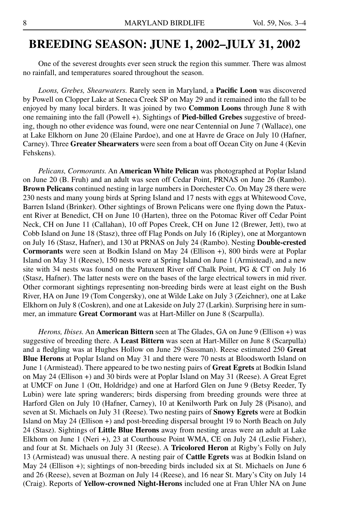## **Breeding Season: JUNE 1, 2002–JULY 31, 2002**

One of the severest droughts ever seen struck the region this summer. There was almost no rainfall, and temperatures soared throughout the season.

*Loons, Grebes, Shearwaters.* Rarely seen in Maryland, a **Pacific Loon** was discovered by Powell on Clopper Lake at Seneca Creek SP on May 29 and it remained into the fall to be enjoyed by many local birders. It was joined by two **Common Loons** through June 8 with one remaining into the fall (Powell +). Sightings of **Pied-billed Grebes** suggestive of breeding, though no other evidence was found, were one near Centennial on June 7 (Wallace), one at Lake Elkhorn on June 20 (Elaine Pardoe), and one at Havre de Grace on July 10 (Hafner, Carney). Three **Greater Shearwaters** were seen from a boat off Ocean City on June 4 (Kevin Fehskens).

*Pelicans, Cormorants.* An **American White Pelican** was photographed at Poplar Island on June 20 (B. Fruh) and an adult was seen off Cedar Point, PRNAS on June 26 (Rambo). **Brown Pelicans** continued nesting in large numbers in Dorchester Co. On May 28 there were 230 nests and many young birds at Spring Island and 17 nests with eggs at Whitewood Cove, Barren Island (Brinker). Other sightings of Brown Pelicans were one flying down the Patuxent River at Benedict, CH on June 10 (Harten), three on the Potomac River off Cedar Point Neck, CH on June 11 (Callahan), 10 off Popes Creek, CH on June 12 (Brewer, Jett), two at Cobb Island on June 18 (Stasz), three off Flag Ponds on July 16 (Ripley), one at Morgantown on July 16 (Stasz, Hafner), and 130 at PRNAS on July 24 (Rambo). Nesting **Double-crested Cormorants** were seen at Bodkin Island on May 24 (Ellison +), 800 birds were at Poplar Island on May 31 (Reese), 150 nests were at Spring Island on June 1 (Armistead), and a new site with 34 nests was found on the Patuxent River off Chalk Point, PG & CT on July 16 (Stasz, Hafner). The latter nests were on the bases of the large electrical towers in mid river. Other cormorant sightings representing non-breeding birds were at least eight on the Bush River, HA on June 19 (Tom Congersky), one at Wilde Lake on July 3 (Zeichner), one at Lake Elkhorn on July 8 (Coskren), and one at Lakeside on July 27 (Larkin). Surprising here in summer, an immature **Great Cormorant** was at Hart-Miller on June 8 (Scarpulla).

*Herons, Ibises.* An **American Bittern** seen at The Glades, GA on June 9 (Ellison +) was suggestive of breeding there. A **Least Bittern** was seen at Hart-Miller on June 8 (Scarpulla) and a fledgling was at Hughes Hollow on June 29 (Sussman). Reese estimated 250 **Great Blue Herons** at Poplar Island on May 31 and there were 70 nests at Bloodsworth Island on June 1 (Armistead). There appeared to be two nesting pairs of **Great Egrets** at Bodkin Island on May 24 (Ellison +) and 30 birds were at Poplar Island on May 31 (Reese). A Great Egret at UMCF on June 1 (Ott, Holdridge) and one at Harford Glen on June 9 (Betsy Reeder, Ty Lubin) were late spring wanderers; birds dispersing from breeding grounds were three at Harford Glen on July 10 (Hafner, Carney), 10 at Kenilworth Park on July 28 (Pisano), and seven at St. Michaels on July 31 (Reese). Two nesting pairs of **Snowy Egrets** were at Bodkin Island on May 24 (Ellison +) and post-breeding dispersal brought 19 to North Beach on July 24 (Stasz). Sightings of **Little Blue Herons** away from nesting areas were an adult at Lake Elkhorn on June 1 (Neri +), 23 at Courthouse Point WMA, CE on July 24 (Leslie Fisher), and four at St. Michaels on July 31 (Reese). A **Tricolored Heron** at Rigby's Folly on July 13 (Armistead) was unusual there. A nesting pair of **Cattle Egrets** was at Bodkin Island on May 24 (Ellison +); sightings of non-breeding birds included six at St. Michaels on June 6 and 26 (Reese), seven at Bozman on July 14 (Reese), and 16 near St. Mary's City on July 14 (Craig). Reports of **Yellow-crowned Night-Herons** included one at Fran Uhler NA on June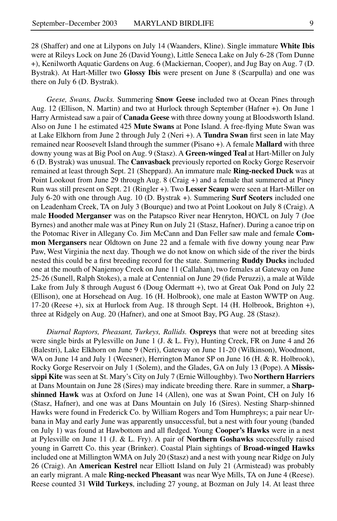9

28 (Shaffer) and one at Lilypons on July 14 (Waanders, Kline). Single immature **White Ibis** were at Rileys Lock on June 26 (David Young), Little Seneca Lake on July 6-28 (Tom Dunne +), Kenilworth Aquatic Gardens on Aug. 6 (Mackiernan, Cooper), and Jug Bay on Aug. 7 (D. Bystrak). At Hart-Miller two **Glossy Ibis** were present on June 8 (Scarpulla) and one was there on July 6 (D. Bystrak).

*Geese, Swans, Ducks.* Summering **Snow Geese** included two at Ocean Pines through Aug. 12 (Ellison, N. Martin) and two at Hurlock through September (Hafner +). On June 1 Harry Armistead saw a pair of **Canada Geese** with three downy young at Bloodsworth Island. Also on June 1 he estimated 425 **Mute Swans** at Pone Island. A free-flying Mute Swan was at Lake Elkhorn from June 2 through July 2 (Neri +). A **Tundra Swan** first seen in late May remained near Roosevelt Island through the summer (Pisano +). A female **Mallard** with three downy young was at Big Pool on Aug. 9 (Stasz). A **Green-winged Teal** at Hart-Miller on July 6 (D. Bystrak) was unusual. The **Canvasback** previously reported on Rocky Gorge Reservoir remained at least through Sept. 21 (Sheppard). An immature male **Ring-necked Duck** was at Point Lookout from June 29 through Aug. 8 (Craig +) and a female that summered at Piney Run was still present on Sept. 21 (Ringler +). Two **Lesser Scaup** were seen at Hart-Miller on July 6-20 with one through Aug. 10 (D. Bystrak +). Summering **Surf Scoters** included one on Leadenham Creek, TA on July 3 (Bourque) and two at Point Lookout on July 8 (Craig). A male **Hooded Merganser** was on the Patapsco River near Henryton, HO/CL on July 7 (Joe Byrnes) and another male was at Piney Run on July 21 (Stasz, Hafner). During a canoe trip on the Potomac River in Allegany Co. Jim McCann and Dan Feller saw male and female **Common Mergansers** near Oldtown on June 22 and a female with five downy young near Paw Paw, West Virginia the next day. Though we do not know on which side of the river the birds nested this could be a first breeding record for the state. Summering **Ruddy Ducks** included one at the mouth of Nanjemoy Creek on June 11 (Callahan), two females at Gateway on June 25-26 (Sunell, Ralph Stokes), a male at Centennial on June 29 (fide Peruzzi), a male at Wilde Lake from July 8 through August 6 (Doug Odermatt +), two at Great Oak Pond on July 22 (Ellison), one at Horsehead on Aug. 16 (H. Holbrook), one male at Easton WWTP on Aug. 17-20 (Reese +), six at Hurlock from Aug. 18 through Sept. 14 (H. Holbrook, Brighton +), three at Ridgely on Aug. 20 (Hafner), and one at Smoot Bay, PG Aug. 28 (Stasz).

*Diurnal Raptors, Pheasant, Turkeys, Rallids.* **Ospreys** that were not at breeding sites were single birds at Pylesville on June 1 (J. & L. Fry), Hunting Creek, FR on June 4 and 26 (Balestri), Lake Elkhorn on June 9 (Neri), Gateway on June 11-20 (Wilkinson), Woodmont, WA on June 14 and July 1 (Weesner), Herrington Manor SP on June 16 (H. & R. Holbrook), Rocky Gorge Reservoir on July 1 (Solem), and the Glades, GA on July 13 (Pope). A **Mississippi Kite** was seen at St. Mary's City on July 7 (Ernie Willoughby). Two **Northern Harriers** at Dans Mountain on June 28 (Sires) may indicate breeding there. Rare in summer, a **Sharpshinned Hawk** was at Oxford on June 14 (Allen), one was at Swan Point, CH on July 16 (Stasz, Hafner), and one was at Dans Mountain on July 16 (Sires). Nesting Sharp-shinned Hawks were found in Frederick Co. by William Rogers and Tom Humphreys; a pair near Urbana in May and early June was apparently unsuccessful, but a nest with four young (banded on July 1) was found at Hawbottom and all fledged. Young **Cooper's Hawks** were in a nest at Pylesville on June 11 (J. & L. Fry). A pair of **Northern Goshawks** successfully raised young in Garrett Co. this year (Brinker). Coastal Plain sightings of **Broad-winged Hawks** included one at Millington WMA on July 20 (Stasz) and a nest with young near Ridge on July 26 (Craig). An **American Kestrel** near Elliott Island on July 21 (Armistead) was probably an early migrant. A male **Ring-necked Pheasant** was near Wye Mills, TA on June 4 (Reese). Reese counted 31 **Wild Turkeys**, including 27 young, at Bozman on July 14. At least three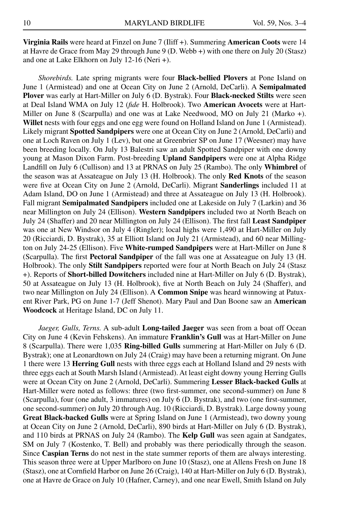**Virginia Rails** were heard at Finzel on June 7 (Iliff +). Summering **American Coots** were 14 at Havre de Grace from May 29 through June 9 (D. Webb +) with one there on July 20 (Stasz) and one at Lake Elkhorn on July 12-16 (Neri +).

*Shorebirds.* Late spring migrants were four **Black-bellied Plovers** at Pone Island on June 1 (Armistead) and one at Ocean City on June 2 (Arnold, DeCarli). A **Semipalmated Plover** was early at Hart-Miller on July 6 (D. Bystrak). Four **Black-necked Stilts** were seen at Deal Island WMA on July 12 (*fide* H. Holbrook). Two **American Avocets** were at Hart-Miller on June 8 (Scarpulla) and one was at Lake Needwood, MO on July 21 (Marko +). **Willet** nests with four eggs and one egg were found on Holland Island on June 1 (Armistead). Likely migrant **Spotted Sandpipers** were one at Ocean City on June 2 (Arnold, DeCarli) and one at Loch Raven on July 1 (Lev), but one at Greenbrier SP on June 17 (Weesner) may have been breeding locally. On July 13 Balestri saw an adult Spotted Sandpiper with one downy young at Mason Dixon Farm. Post-breeding **Upland Sandpipers** were one at Alpha Ridge Landfill on July 6 (Cullison) and 13 at PRNAS on July 25 (Rambo). The only **Whimbrel** of the season was at Assateague on July 13 (H. Holbrook). The only **Red Knots** of the season were five at Ocean City on June 2 (Arnold, DeCarli). Migrant **Sanderlings** included 11 at Adam Island, DO on June 1 (Armistead) and three at Assateague on July 13 (H. Holbrook). Fall migrant **Semipalmated Sandpipers** included one at Lakeside on July 7 (Larkin) and 36 near Millington on July 24 (Ellison). **Western Sandpipers** included two at North Beach on July 24 (Shaffer) and 20 near Millington on July 24 (Ellison). The first fall **Least Sandpiper** was one at New Windsor on July 4 (Ringler); local highs were 1,490 at Hart-Miller on July 20 (Ricciardi, D. Bystrak), 35 at Elliott Island on July 21 (Armistead), and 60 near Millington on July 24-25 (Ellison). Five **White-rumped Sandpipers** were at Hart-Miller on June 8 (Scarpulla). The first **Pectoral Sandpiper** of the fall was one at Assateague on July 13 (H. Holbrook). The only **Stilt Sandpipers** reported were four at North Beach on July 24 (Stasz +). Reports of **Short-billed Dowitchers** included nine at Hart-Miller on July 6 (D. Bystrak), 50 at Assateague on July 13 (H. Holbrook), five at North Beach on July 24 (Shaffer), and two near Millington on July 24 (Ellison). A **Common Snipe** was heard winnowing at Patuxent River Park, PG on June 1-7 (Jeff Shenot). Mary Paul and Dan Boone saw an **American Woodcock** at Heritage Island, DC on July 11.

*Jaeger, Gulls, Terns.* A sub-adult **Long-tailed Jaeger** was seen from a boat off Ocean City on June 4 (Kevin Fehskens). An immature **Franklin's Gull** was at Hart-Miller on June 8 (Scarpulla). There were 1,035 **Ring-billed Gulls** summering at Hart-Miller on July 6 (D. Bystrak); one at Leonardtown on July 24 (Craig) may have been a returning migrant. On June 1 there were 13 **Herring Gull** nests with three eggs each at Holland Island and 29 nests with three eggs each at South Marsh Island (Armistead). At least eight downy young Herring Gulls were at Ocean City on June 2 (Arnold, DeCarli). Summering **Lesser Black-backed Gulls** at Hart-Miller were noted as follows: three (two first-summer, one second-summer) on June 8 (Scarpulla), four (one adult, 3 immatures) on July 6 (D. Bystrak), and two (one first-summer, one second-summer) on July 20 through Aug. 10 (Ricciardi, D. Bystrak). Large downy young **Great Black-backed Gulls** were at Spring Island on June 1 (Armistead), two downy young at Ocean City on June 2 (Arnold, DeCarli), 890 birds at Hart-Miller on July 6 (D. Bystrak), and 110 birds at PRNAS on July 24 (Rambo). The **Kelp Gull** was seen again at Sandgates, SM on July 7 (Kostenko, T. Bell) and probably was there periodically through the season. Since **Caspian Terns** do not nest in the state summer reports of them are always interesting. This season three were at Upper Marlboro on June 10 (Stasz), one at Allens Fresh on June 18 (Stasz), one at Cornfield Harbor on June 26 (Craig), 140 at Hart-Miller on July 6 (D. Bystrak), one at Havre de Grace on July 10 (Hafner, Carney), and one near Ewell, Smith Island on July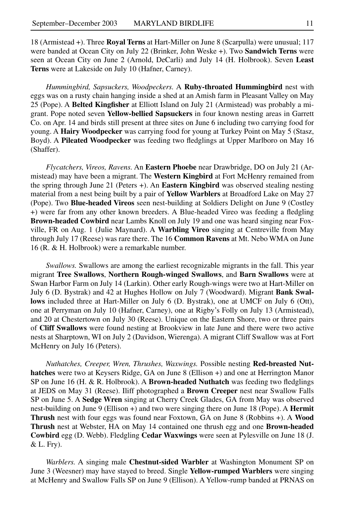18 (Armistead +). Three **Royal Terns** at Hart-Miller on June 8 (Scarpulla) were unusual; 117 were banded at Ocean City on July 22 (Brinker, John Weske +). Two **Sandwich Terns** were seen at Ocean City on June 2 (Arnold, DeCarli) and July 14 (H. Holbrook). Seven **Least Terns** were at Lakeside on July 10 (Hafner, Carney).

*Hummingbird, Sapsuckers, Woodpeckers.* A **Ruby-throated Hummingbird** nest with eggs was on a rusty chain hanging inside a shed at an Amish farm in Pleasant Valley on May 25 (Pope). A **Belted Kingfisher** at Elliott Island on July 21 (Armistead) was probably a migrant. Pope noted seven **Yellow-bellied Sapsuckers** in four known nesting areas in Garrett Co. on Apr. 14 and birds still present at three sites on June 6 including two carrying food for young. A **Hairy Woodpecker** was carrying food for young at Turkey Point on May 5 (Stasz, Boyd). A **Pileated Woodpecker** was feeding two fledglings at Upper Marlboro on May 16 (Shaffer).

*Flycatchers, Vireos, Ravens.* An **Eastern Phoebe** near Drawbridge, DO on July 21 (Armistead) may have been a migrant. The **Western Kingbird** at Fort McHenry remained from the spring through June 21 (Peters +). An **Eastern Kingbird** was observed stealing nesting material from a nest being built by a pair of **Yellow Warblers** at Broadford Lake on May 27 (Pope). Two **Blue-headed Vireos** seen nest-building at Soldiers Delight on June 9 (Costley +) were far from any other known breeders. A Blue-headed Vireo was feeding a fledgling **Brown-headed Cowbird** near Lambs Knoll on July 19 and one was heard singing near Foxville, FR on Aug. 1 (Julie Maynard). A **Warbling Vireo** singing at Centreville from May through July 17 (Reese) was rare there. The 16 **Common Ravens** at Mt. Nebo WMA on June 16 (R. & H. Holbrook) were a remarkable number.

*Swallows.* Swallows are among the earliest recognizable migrants in the fall. This year migrant **Tree Swallows**, **Northern Rough-winged Swallows**, and **Barn Swallows** were at Swan Harbor Farm on July 14 (Larkin). Other early Rough-wings were two at Hart-Miller on July 6 (D. Bystrak) and 42 at Hughes Hollow on July 7 (Woodward). Migrant **Bank Swallows** included three at Hart-Miller on July 6 (D. Bystrak), one at UMCF on July 6 (Ott), one at Perryman on July 10 (Hafner, Carney), one at Rigby's Folly on July 13 (Armistead), and 20 at Chestertown on July 30 (Reese). Unique on the Eastern Shore, two or three pairs of **Cliff Swallows** were found nesting at Brookview in late June and there were two active nests at Sharptown, WI on July 2 (Davidson, Wierenga). A migrant Cliff Swallow was at Fort McHenry on July 16 (Peters).

*Nuthatches, Creeper, Wren, Thrushes, Waxwings.* Possible nesting **Red-breasted Nuthatches** were two at Keysers Ridge, GA on June 8 (Ellison +) and one at Herrington Manor SP on June 16 (H. & R. Holbrook). A **Brown-headed Nuthatch** was feeding two fledglings at JEDS on May 31 (Reese). Iliff photographed a **Brown Creeper** nest near Swallow Falls SP on June 5. A **Sedge Wren** singing at Cherry Creek Glades, GA from May was observed nest-building on June 9 (Ellison +) and two were singing there on June 18 (Pope). A **Hermit Thrush** nest with four eggs was found near Foxtown, GA on June 8 (Robbins +). A **Wood Thrush** nest at Webster, HA on May 14 contained one thrush egg and one **Brown-headed Cowbird** egg (D. Webb). Fledgling **Cedar Waxwings** were seen at Pylesville on June 18 (J. & L. Fry).

*Warblers.* A singing male **Chestnut-sided Warbler** at Washington Monument SP on June 3 (Weesner) may have stayed to breed. Single **Yellow-rumped Warblers** were singing at McHenry and Swallow Falls SP on June 9 (Ellison). A Yellow-rump banded at PRNAS on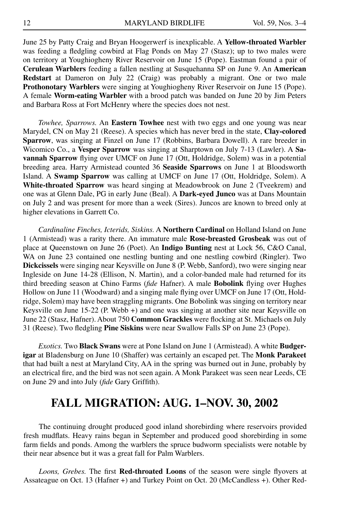June 25 by Patty Craig and Bryan Hoogerwerf is inexplicable. A **Yellow-throated Warbler** was feeding a fledgling cowbird at Flag Ponds on May 27 (Stasz); up to two males were on territory at Youghiogheny River Reservoir on June 15 (Pope). Eastman found a pair of **Cerulean Warblers** feeding a fallen nestling at Susquehanna SP on June 9. An **American Redstart** at Dameron on July 22 (Craig) was probably a migrant. One or two male **Prothonotary Warblers** were singing at Youghiogheny River Reservoir on June 15 (Pope). A female **Worm-eating Warbler** with a brood patch was banded on June 20 by Jim Peters and Barbara Ross at Fort McHenry where the species does not nest.

*Towhee, Sparrows.* An **Eastern Towhee** nest with two eggs and one young was near Marydel, CN on May 21 (Reese). A species which has never bred in the state, **Clay-colored Sparrow**, was singing at Finzel on June 17 (Robbins, Barbara Dowell). A rare breeder in Wicomico Co., a **Vesper Sparrow** was singing at Sharptown on July 7-13 (Lawler). A **Savannah Sparrow** flying over UMCF on June 17 (Ott, Holdridge, Solem) was in a potential breeding area. Harry Armistead counted 36 **Seaside Sparrows** on June 1 at Bloodsworth Island. A **Swamp Sparrow** was calling at UMCF on June 17 (Ott, Holdridge, Solem). A **White-throated Sparrow** was heard singing at Meadowbrook on June 2 (Tveekrem) and one was at Glenn Dale, PG in early June (Beal). A **Dark-eyed Junco** was at Dans Mountain on July 2 and was present for more than a week (Sires). Juncos are known to breed only at higher elevations in Garrett Co.

*Cardinaline Finches, Icterids, Siskins.* A **Northern Cardinal** on Holland Island on June 1 (Armistead) was a rarity there. An immature male **Rose-breasted Grosbeak** was out of place at Queenstown on June 26 (Poet). An **Indigo Bunting** nest at Lock 56, C&O Canal, WA on June 23 contained one nestling bunting and one nestling cowbird (Ringler). Two **Dickcissels** were singing near Keysville on June 8 (P. Webb, Sanford), two were singing near Ingleside on June 14-28 (Ellison, N. Martin), and a color-banded male had returned for its third breeding season at Chino Farms (*fide* Hafner). A male **Bobolink** flying over Hughes Hollow on June 11 (Woodward) and a singing male flying over UMCF on June 17 (Ott, Holdridge, Solem) may have been straggling migrants. One Bobolink was singing on territory near Keysville on June 15-22 (P. Webb +) and one was singing at another site near Keysville on June 22 (Stasz, Hafner). About 750 **Common Grackles** were flocking at St. Michaels on July 31 (Reese). Two fledgling **Pine Siskins** were near Swallow Falls SP on June 23 (Pope).

*Exotics.* Two **Black Swans** were at Pone Island on June 1 (Armistead). A white **Budgerigar** at Bladensburg on June 10 (Shaffer) was certainly an escaped pet. The **Monk Parakeet** that had built a nest at Maryland City, AA in the spring was burned out in June, probably by an electrical fire, and the bird was not seen again. A Monk Parakeet was seen near Leeds, CE on June 29 and into July (*fide* Gary Griffith).

## **FALL MIGRATION: AUG. 1–NOV. 30, 2002**

The continuing drought produced good inland shorebirding where reservoirs provided fresh mudflats. Heavy rains began in September and produced good shorebirding in some farm fields and ponds. Among the warblers the spruce budworm specialists were notable by their near absence but it was a great fall for Palm Warblers.

*Loons, Grebes.* The first **Red-throated Loons** of the season were single flyovers at Assateague on Oct. 13 (Hafner +) and Turkey Point on Oct. 20 (McCandless +). Other Red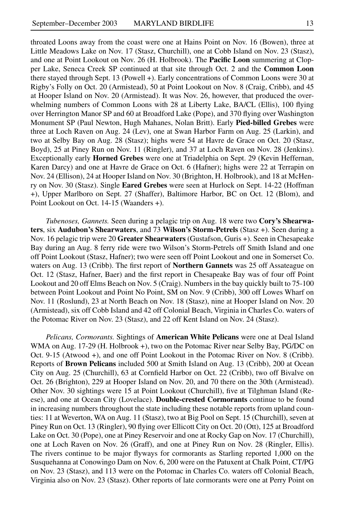throated Loons away from the coast were one at Hains Point on Nov. 16 (Bowen), three at Little Meadows Lake on Nov. 17 (Stasz, Churchill), one at Cobb Island on Nov. 23 (Stasz), and one at Point Lookout on Nov. 26 (H. Holbrook). The **Pacific Loon** summering at Clopper Lake, Seneca Creek SP continued at that site through Oct. 2 and the **Common Loon** there stayed through Sept. 13 (Powell +). Early concentrations of Common Loons were 30 at Rigby's Folly on Oct. 20 (Armistead), 50 at Point Lookout on Nov. 8 (Craig, Cribb), and 45 at Hooper Island on Nov. 20 (Armistead). It was Nov. 26, however, that produced the overwhelming numbers of Common Loons with 28 at Liberty Lake, BA/CL (Ellis), 100 flying over Herrington Manor SP and 60 at Broadford Lake (Pope), and 370 flying over Washington Monument SP (Paul Newton, Hugh Mahanes, Nolan Britt). Early **Pied-billed Grebes** were three at Loch Raven on Aug. 24 (Lev), one at Swan Harbor Farm on Aug. 25 (Larkin), and two at Selby Bay on Aug. 28 (Stasz); highs were 54 at Havre de Grace on Oct. 20 (Stasz, Boyd), 25 at Piney Run on Nov. 11 (Ringler), and 37 at Loch Raven on Nov. 28 (Jenkins). Exceptionally early **Horned Grebes** were one at Triadelphia on Sept. 29 (Kevin Heffernan, Karen Darcy) and one at Havre de Grace on Oct. 6 (Hafner); highs were 22 at Terrapin on Nov. 24 (Ellison), 24 at Hooper Island on Nov. 30 (Brighton, H. Holbrook), and 18 at McHenry on Nov. 30 (Stasz). Single **Eared Grebes** were seen at Hurlock on Sept. 14-22 (Hoffman +), Upper Marlboro on Sept. 27 (Shaffer), Baltimore Harbor, BC on Oct. 12 (Blom), and Point Lookout on Oct. 14-15 (Waanders +).

*Tubenoses, Gannets.* Seen during a pelagic trip on Aug. 18 were two **Cory's Shearwaters**, six **Audubon's Shearwaters**, and 73 **Wilson's Storm-Petrels** (Stasz +). Seen during a Nov. 16 pelagic trip were 20 **Greater Shearwaters** (Gustafson, Guris +). Seen in Chesapeake Bay during an Aug. 8 ferry ride were two Wilson's Storm-Petrels off Smith Island and one off Point Lookout (Stasz, Hafner); two were seen off Point Lookout and one in Somerset Co. waters on Aug. 13 (Cribb). The first report of **Northern Gannets** was 25 off Assateague on Oct. 12 (Stasz, Hafner, Baer) and the first report in Chesapeake Bay was of four off Point Lookout and 20 off Elms Beach on Nov. 5 (Craig). Numbers in the bay quickly built to 75-100 between Point Lookout and Point No Point, SM on Nov. 9 (Cribb), 300 off Lowes Wharf on Nov. 11 (Roslund), 23 at North Beach on Nov. 18 (Stasz), nine at Hooper Island on Nov. 20 (Armistead), six off Cobb Island and 42 off Colonial Beach, Virginia in Charles Co. waters of the Potomac River on Nov. 23 (Stasz), and 22 off Kent Island on Nov. 24 (Stasz).

*Pelicans, Cormorants.* Sightings of **American White Pelicans** were one at Deal Island WMA on Aug. 17-29 (H. Holbrook +), two on the Potomac River near Selby Bay, PG/DC on Oct. 9-15 (Atwood +), and one off Point Lookout in the Potomac River on Nov. 8 (Cribb). Reports of **Brown Pelicans** included 500 at Smith Island on Aug. 13 (Cribb), 200 at Ocean City on Aug. 25 (Churchill), 63 at Cornfield Harbor on Oct. 22 (Cribb), two off Bivalve on Oct. 26 (Brighton), 229 at Hooper Island on Nov. 20, and 70 there on the 30th (Armistead). Other Nov. 30 sightings were 15 at Point Lookout (Churchill), five at Tilghman Island (Reese), and one at Ocean City (Lovelace). **Double-crested Cormorants** continue to be found in increasing numbers throughout the state including these notable reports from upland counties: 11 at Weverton, WA on Aug. 11 (Stasz), two at Big Pool on Sept. 15 (Churchill), seven at Piney Run on Oct. 13 (Ringler), 90 flying over Ellicott City on Oct. 20 (Ott), 125 at Broadford Lake on Oct. 30 (Pope), one at Piney Reservoir and one at Rocky Gap on Nov. 17 (Churchill), one at Loch Raven on Nov. 26 (Graff), and one at Piney Run on Nov. 28 (Ringler, Ellis). The rivers continue to be major flyways for cormorants as Starling reported 1,000 on the Susquehanna at Conowingo Dam on Nov. 6, 200 were on the Patuxent at Chalk Point, CT/PG on Nov. 23 (Stasz), and 113 were on the Potomac in Charles Co. waters off Colonial Beach, Virginia also on Nov. 23 (Stasz). Other reports of late cormorants were one at Perry Point on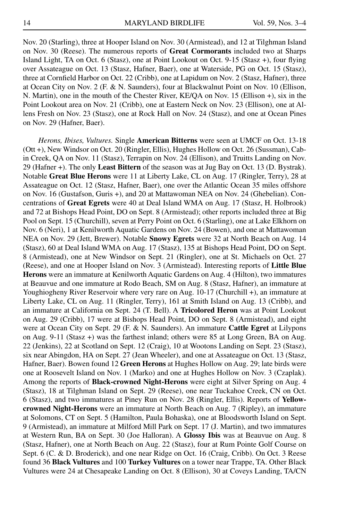Nov. 20 (Starling), three at Hooper Island on Nov. 30 (Armistead), and 12 at Tilghman Island on Nov. 30 (Reese). The numerous reports of **Great Cormorants** included two at Sharps Island Light, TA on Oct. 6 (Stasz), one at Point Lookout on Oct. 9-15 (Stasz +), four flying over Assateague on Oct. 13 (Stasz, Hafner, Baer), one at Waterside, PG on Oct. 15 (Stasz), three at Cornfield Harbor on Oct. 22 (Cribb), one at Lapidum on Nov. 2 (Stasz, Hafner), three at Ocean City on Nov. 2 (F. & N. Saunders), four at Blackwalnut Point on Nov. 10 (Ellison, N. Martin), one in the mouth of the Chester River, KE/QA on Nov. 15 (Ellison +), six in the Point Lookout area on Nov. 21 (Cribb), one at Eastern Neck on Nov. 23 (Ellison), one at Allens Fresh on Nov. 23 (Stasz), one at Rock Hall on Nov. 24 (Stasz), and one at Ocean Pines on Nov. 29 (Hafner, Baer).

*Herons, Ibises, Vultures.* Single **American Bitterns** were seen at UMCF on Oct. 13-18 (Ott +), New Windsor on Oct. 20 (Ringler, Ellis), Hughes Hollow on Oct. 26 (Sussman), Cabin Creek, QA on Nov. 11 (Stasz), Terrapin on Nov. 24 (Ellison), and Truitts Landing on Nov. 29 (Hafner +). The only **Least Bittern** of the season was at Jug Bay on Oct. 13 (D. Bystrak). Notable **Great Blue Herons** were 11 at Liberty Lake, CL on Aug. 17 (Ringler, Terry), 28 at Assateague on Oct. 12 (Stasz, Hafner, Baer), one over the Atlantic Ocean 35 miles offshore on Nov. 16 (Gustafson, Guris +), and 20 at Mattawoman NEA on Nov. 24 (Ghebelian). Concentrations of **Great Egrets** were 40 at Deal Island WMA on Aug. 17 (Stasz, H. Holbrook) and 72 at Bishops Head Point, DO on Sept. 8 (Armistead); other reports included three at Big Pool on Sept. 15 (Churchill), seven at Perry Point on Oct. 6 (Starling), one at Lake Elkhorn on Nov. 6 (Neri), 1 at Kenilworth Aquatic Gardens on Nov. 24 (Bowen), and one at Mattawoman NEA on Nov. 29 (Jett, Brewer). Notable **Snowy Egrets** were 32 at North Beach on Aug. 14 (Stasz), 60 at Deal Island WMA on Aug. 17 (Stasz), 135 at Bishops Head Point, DO on Sept. 8 (Armistead), one at New Windsor on Sept. 21 (Ringler), one at St. Michaels on Oct. 27 (Reese), and one at Hooper Island on Nov. 3 (Armistead). Interesting reports of **Little Blue Herons** were an immature at Kenilworth Aquatic Gardens on Aug. 4 (Hilton), two immatures at Beauvue and one immature at Rodo Beach, SM on Aug. 8 (Stasz, Hafner), an immature at Youghiogheny River Reservoir where very rare on Aug. 10-17 (Churchill +), an immature at Liberty Lake, CL on Aug. 11 (Ringler, Terry), 161 at Smith Island on Aug. 13 (Cribb), and an immature at California on Sept. 24 (T. Bell). A **Tricolored Heron** was at Point Lookout on Aug. 29 (Cribb), 17 were at Bishops Head Point, DO on Sept. 8 (Armistead), and eight were at Ocean City on Sept. 29 (F. & N. Saunders). An immature **Cattle Egret** at Lilypons on Aug. 9-11 (Stasz +) was the farthest inland; others were 85 at Long Green, BA on Aug. 22 (Jenkins), 22 at Scotland on Sept. 12 (Craig), 10 at Wootons Landing on Sept. 23 (Stasz), six near Abingdon, HA on Sept. 27 (Jean Wheeler), and one at Assateague on Oct. 13 (Stasz, Hafner, Baer). Bowen found 12 **Green Herons** at Hughes Hollow on Aug. 29; late birds were one at Roosevelt Island on Nov. 1 (Marko) and one at Hughes Hollow on Nov. 3 (Czaplak). Among the reports of **Black-crowned Night-Herons** were eight at Silver Spring on Aug. 4 (Stasz), 18 at Tilghman Island on Sept. 29 (Reese), one near Tuckahoe Creek, CN on Oct. 6 (Stasz), and two immatures at Piney Run on Nov. 28 (Ringler, Ellis). Reports of **Yellowcrowned Night-Herons** were an immature at North Beach on Aug. 7 (Ripley), an immature at Solomons, CT on Sept. 5 (Hamilton, Paula Bohaska), one at Bloodsworth Island on Sept. 9 (Armistead), an immature at Milford Mill Park on Sept. 17 (J. Martin), and two immatures at Western Run, BA on Sept. 30 (Joe Halloran). A **Glossy Ibis** was at Beauvue on Aug. 8 (Stasz, Hafner), one at North Beach on Aug. 22 (Stasz), four at Rum Pointe Golf Course on Sept. 6 (C. & D. Broderick), and one near Ridge on Oct. 16 (Craig, Cribb). On Oct. 3 Reese found 36 **Black Vultures** and 100 **Turkey Vultures** on a tower near Trappe, TA. Other Black Vultures were 24 at Chesapeake Landing on Oct. 8 (Ellison), 30 at Coveys Landing, TA/CN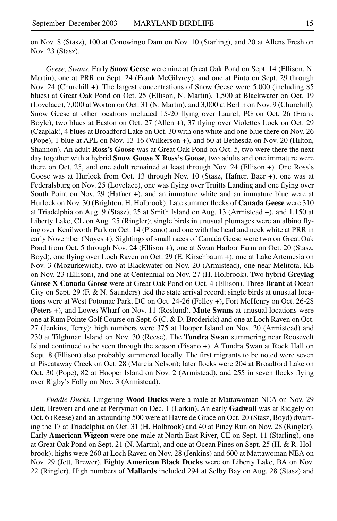on Nov. 8 (Stasz), 100 at Conowingo Dam on Nov. 10 (Starling), and 20 at Allens Fresh on Nov. 23 (Stasz).

*Geese, Swans.* Early **Snow Geese** were nine at Great Oak Pond on Sept. 14 (Ellison, N. Martin), one at PRR on Sept. 24 (Frank McGilvrey), and one at Pinto on Sept. 29 through Nov. 24 (Churchill +). The largest concentrations of Snow Geese were 5,000 (including 85 blues) at Great Oak Pond on Oct. 25 (Ellison, N. Martin), 1,500 at Blackwater on Oct. 19 (Lovelace), 7,000 at Worton on Oct. 31 (N. Martin), and 3,000 at Berlin on Nov. 9 (Churchill). Snow Geese at other locations included 15-20 flying over Laurel, PG on Oct. 26 (Frank Boyle), two blues at Easton on Oct. 27 (Allen +), 37 flying over Violettes Lock on Oct. 29 (Czaplak), 4 blues at Broadford Lake on Oct. 30 with one white and one blue there on Nov. 26 (Pope), 1 blue at APL on Nov. 13-16 (Wilkerson +), and 60 at Bethesda on Nov. 20 (Hilton, Shannon). An adult **Ross's Goose** was at Great Oak Pond on Oct. 5, two were there the next day together with a hybrid **Snow Goose X Ross's Goose**, two adults and one immature were there on Oct. 25, and one adult remained at least through Nov. 24 (Ellison +). One Ross's Goose was at Hurlock from Oct. 13 through Nov. 10 (Stasz, Hafner, Baer +), one was at Federalsburg on Nov. 25 (Lovelace), one was flying over Truitts Landing and one flying over South Point on Nov. 29 (Hafner +), and an immature white and an immature blue were at Hurlock on Nov. 30 (Brighton, H. Holbrook). Late summer flocks of **Canada Geese** were 310 at Triadelphia on Aug. 9 (Stasz), 25 at Smith Island on Aug. 13 (Armistead +), and 1,150 at Liberty Lake, CL on Aug. 25 (Ringler); single birds in unusual plumages were an albino flying over Kenilworth Park on Oct. 14 (Pisano) and one with the head and neck white at PRR in early November (Noyes +). Sightings of small races of Canada Geese were two on Great Oak Pond from Oct. 5 through Nov. 24 (Ellison +), one at Swan Harbor Farm on Oct. 20 (Stasz, Boyd), one flying over Loch Raven on Oct. 29 (E. Kirschbaum +), one at Lake Artemesia on Nov. 3 (Mozurkewich), two at Blackwater on Nov. 20 (Armistead), one near Melitota, KE on Nov. 23 (Ellison), and one at Centennial on Nov. 27 (H. Holbrook). Two hybrid **Greylag Goose X Canada Goose** were at Great Oak Pond on Oct. 4 (Ellison). Three **Brant** at Ocean City on Sept. 29 (F.  $\&$  N. Saunders) tied the state arrival record; single birds at unusual locations were at West Potomac Park, DC on Oct. 24-26 (Felley +), Fort McHenry on Oct. 26-28 (Peters +), and Lowes Wharf on Nov. 11 (Roslund). **Mute Swans** at unusual locations were one at Rum Pointe Golf Course on Sept. 6 (C. & D. Broderick) and one at Loch Raven on Oct. 27 (Jenkins, Terry); high numbers were 375 at Hooper Island on Nov. 20 (Armistead) and 230 at Tilghman Island on Nov. 30 (Reese). The **Tundra Swan** summering near Roosevelt Island continued to be seen through the season (Pisano +). A Tundra Swan at Rock Hall on Sept. 8 (Ellison) also probably summered locally. The first migrants to be noted were seven at Piscataway Creek on Oct. 28 (Marcia Nelson); later flocks were 204 at Broadford Lake on Oct. 30 (Pope), 82 at Hooper Island on Nov. 2 (Armistead), and 255 in seven flocks flying over Rigby's Folly on Nov. 3 (Armistead).

*Puddle Ducks.* Lingering **Wood Ducks** were a male at Mattawoman NEA on Nov. 29 (Jett, Brewer) and one at Perryman on Dec. 1 (Larkin). An early **Gadwall** was at Ridgely on Oct. 6 (Reese) and an astounding 500 were at Havre de Grace on Oct. 20 (Stasz, Boyd) dwarfing the 17 at Triadelphia on Oct. 31 (H. Holbrook) and 40 at Piney Run on Nov. 28 (Ringler). Early **American Wigeon** were one male at North East River, CE on Sept. 11 (Starling), one at Great Oak Pond on Sept. 21 (N. Martin), and one at Ocean Pines on Sept. 25 (H. & R. Holbrook); highs were 260 at Loch Raven on Nov. 28 (Jenkins) and 600 at Mattawoman NEA on Nov. 29 (Jett, Brewer). Eighty **American Black Ducks** were on Liberty Lake, BA on Nov. 22 (Ringler). High numbers of **Mallards** included 294 at Selby Bay on Aug. 28 (Stasz) and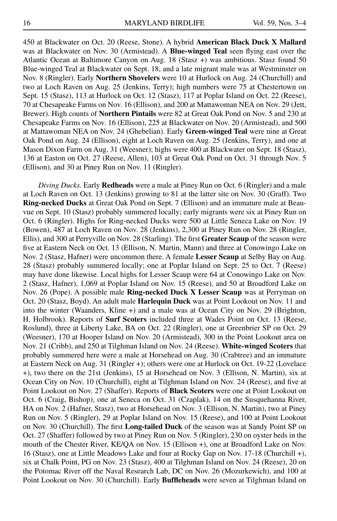450 at Blackwater on Oct. 20 (Reese, Stone). A hybrid **American Black Duck X Mallard** was at Blackwater on Nov. 30 (Armistead). A **Blue-winged Teal** seen flying east over the Atlantic Ocean at Baltimore Canyon on Aug. 18 (Stasz +) was ambitious. Stasz found 50 Blue-winged Teal at Blackwater on Sept. 18, and a late migrant male was at Westminster on Nov. 8 (Ringler). Early **Northern Shovelers** were 10 at Hurlock on Aug. 24 (Churchill) and two at Loch Raven on Aug. 25 (Jenkins, Terry); high numbers were 75 at Chestertown on Sept. 15 (Stasz), 113 at Hurlock on Oct. 12 (Stasz), 117 at Poplar Island on Oct. 22 (Reese), 70 at Chesapeake Farms on Nov. 16 (Ellison), and 200 at Mattawoman NEA on Nov. 29 (Jett, Brewer). High counts of **Northern Pintails** were 82 at Great Oak Pond on Nov. 5 and 230 at Chesapeake Farms on Nov. 16 (Ellison), 225 at Blackwater on Nov. 20 (Armistead), and 500 at Mattawoman NEA on Nov. 24 (Ghebelian). Early **Green-winged Teal** were nine at Great Oak Pond on Aug. 24 (Ellison), eight at Loch Raven on Aug. 25 (Jenkins, Terry), and one at Mason Dixon Farm on Aug. 31 (Weesner); highs were 400 at Blackwater on Sept. 18 (Stasz), 136 at Easton on Oct. 27 (Reese, Allen), 103 at Great Oak Pond on Oct. 31 through Nov. 5 (Ellison), and 30 at Piney Run on Nov. 11 (Ringler).

*Diving Ducks.* Early **Redheads** were a male at Piney Run on Oct. 6 (Ringler) and a male at Loch Raven on Oct. 13 (Jenkins) growing to 81 at the latter site on Nov. 30 (Graff). Two **Ring-necked Ducks** at Great Oak Pond on Sept. 7 (Ellison) and an immature male at Beauvue on Sept. 10 (Stasz) probably summered locally; early migrants were six at Piney Run on Oct. 6 (Ringler). Highs for Ring-necked Ducks were 500 at Little Seneca Lake on Nov. 19 (Bowen), 487 at Loch Raven on Nov. 28 (Jenkins), 2,300 at Piney Run on Nov. 28 (Ringler, Ellis), and 300 at Perryville on Nov. 28 (Starling). The first **Greater Scaup** of the season were five at Eastern Neck on Oct. 13 (Ellison, N. Martin, Mann) and three at Conowingo Lake on Nov. 2 (Stasz, Hafner) were uncommon there. A female **Lesser Scaup** at Selby Bay on Aug. 28 (Stasz) probably summered locally; one at Poplar Island on Sept. 25 to Oct. 7 (Reese) may have done likewise. Local highs for Lesser Scaup were 64 at Conowingo Lake on Nov. 2 (Stasz, Hafner), 1,069 at Poplar Island on Nov. 15 (Reese), and 50 at Broadford Lake on Nov. 26 (Pope). A possible male **Ring-necked Duck X Lesser Scaup** was at Perryman on Oct. 20 (Stasz, Boyd). An adult male **Harlequin Duck** was at Point Lookout on Nov. 11 and into the winter (Waanders, Kline +) and a male was at Ocean City on Nov. 29 (Brighton, H. Holbrook). Reports of **Surf Scoters** included three at Wades Point on Oct. 13 (Reese, Roslund), three at Liberty Lake, BA on Oct. 22 (Ringler), one at Greenbrier SP on Oct. 29 (Weesner), 170 at Hooper Island on Nov. 20 (Armistead), 300 in the Point Lookout area on Nov. 21 (Cribb), and 250 at Tilghman Island on Nov. 24 (Reese). **White-winged Scoters** that probably summered here were a male at Horsehead on Aug. 30 (Crabtree) and an immature at Eastern Neck on Aug. 31 (Ringler +); others were one at Hurlock on Oct. 19-22 (Lovelace +), two there on the 21st (Jenkins), 15 at Horsehead on Nov. 3 (Ellison, N. Martin), six at Ocean City on Nov. 10 (Churchill), eight at Tilghman Island on Nov. 24 (Reese), and five at Point Lookout on Nov. 27 (Shaffer). Reports of **Black Scoters** were one at Point Lookout on Oct. 6 (Craig, Bishop), one at Seneca on Oct. 31 (Czaplak), 14 on the Susquehanna River, HA on Nov. 2 (Hafner, Stasz), two at Horsehead on Nov. 3 (Ellison, N. Martin), two at Piney Run on Nov. 5 (Ringler), 29 at Poplar Island on Nov. 15 (Reese), and 100 at Point Lookout on Nov. 30 (Churchill). The first **Long-tailed Duck** of the season was at Sandy Point SP on Oct. 27 (Shaffer) followed by two at Piney Run on Nov. 5 (Ringler), 230 on oyster beds in the mouth of the Chester River, KE/QA on Nov. 15 (Ellison +), one at Broadford Lake on Nov. 16 (Stasz), one at Little Meadows Lake and four at Rocky Gap on Nov. 17-18 (Churchill +), six at Chalk Point, PG on Nov. 23 (Stasz), 400 at Tilghman Island on Nov. 24 (Reese), 20 on the Potomac River off the Naval Research Lab, DC on Nov. 26 (Mozurkewich), and 100 at Point Lookout on Nov. 30 (Churchill). Early **Buffleheads** were seven at Tilghman Island on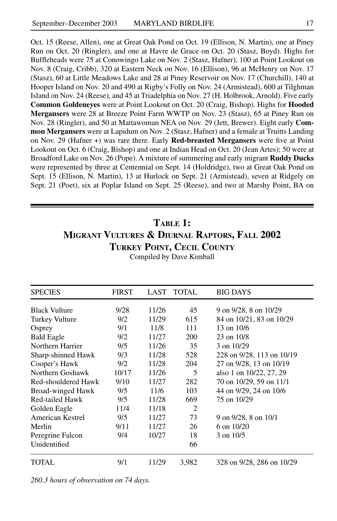Oct. 15 (Reese, Allen), one at Great Oak Pond on Oct. 19 (Ellison, N. Martin), one at Piney Run on Oct. 20 (Ringler), and one at Havre de Grace on Oct. 20 (Stasz, Boyd). Highs for Buffleheads were 75 at Conowingo Lake on Nov. 2 (Stasz, Hafner), 100 at Point Lookout on Nov. 8 (Craig, Cribb), 320 at Eastern Neck on Nov. 16 (Ellison), 96 at McHenry on Nov. 17 (Stasz), 60 at Little Meadows Lake and 28 at Piney Reservoir on Nov. 17 (Churchill), 140 at Hooper Island on Nov. 20 and 490 at Rigby's Folly on Nov. 24 (Armistead), 600 at Tilghman Island on Nov. 24 (Reese), and 45 at Triadelphia on Nov. 27 (H. Holbrook, Arnold). Five early **Common Goldeneyes** were at Point Lookout on Oct. 20 (Craig, Bishop). Highs for **Hooded Mergansers** were 28 at Breeze Point Farm WWTP on Nov. 23 (Stasz), 65 at Piney Run on Nov. 28 (Ringler), and 50 at Mattawoman NEA on Nov. 29 (Jett, Brewer). Eight early **Common Mergansers** were at Lapidum on Nov. 2 (Stasz, Hafner) and a female at Truitts Landing on Nov. 29 (Hafner +) was rare there. Early **Red-breasted Mergansers** were five at Point Lookout on Oct. 6 (Craig, Bishop) and one at Indian Head on Oct. 20 (Jean Artes); 50 were at Broadford Lake on Nov. 26 (Pope). A mixture of summering and early migrant **Ruddy Ducks** were represented by three at Centennial on Sept. 14 (Holdridge), two at Great Oak Pond on Sept. 15 (Ellison, N. Martin), 13 at Hurlock on Sept. 21 (Armistead), seven at Ridgely on Sept. 21 (Poet), six at Poplar Island on Sept. 25 (Reese), and two at Marshy Point, BA on

### **Table 1: Migrant Vultures & Diurnal Raptors, Fall 2002 Turkey Point, Cecil County**

| <b>SPECIES</b>       | <b>FIRST</b> | LAST  | <b>TOTAL</b>   | <b>BIG DAYS</b>           |
|----------------------|--------------|-------|----------------|---------------------------|
| <b>Black Vulture</b> | 9/28         | 11/26 | 45             | 9 on 9/28, 8 on 10/29     |
| Turkey Vulture       | 9/2          | 11/29 | 615            | 84 on 10/21, 83 on 10/29  |
| Osprey               | 9/1          | 11/8  | 111            | 13 on $10/6$              |
| <b>Bald Eagle</b>    | 9/2          | 11/27 | <b>200</b>     | 23 on 10/8                |
| Northern Harrier     | 9/5          | 11/26 | 35             | 3 on 10/29                |
| Sharp-shinned Hawk   | 9/3          | 11/28 | 528            | 228 on 9/28, 113 on 10/19 |
| Cooper's Hawk        | 9/2          | 11/28 | 204            | 27 on 9/28, 13 on 10/19   |
| Northern Goshawk     | 10/17        | 11/26 | 5              | also 1 on 10/22, 27, 29   |
| Red-shouldered Hawk  | 9/10         | 11/27 | 282            | 70 on 10/29, 59 on 11/1   |
| Broad-winged Hawk    | 9/5          | 11/6  | 103            | 44 on 9/29, 24 on 10/6    |
| Red-tailed Hawk      | 9/5          | 11/28 | 669            | 75 on 10/29               |
| Golden Eagle         | 11/4         | 11/18 | $\overline{2}$ |                           |
| American Kestrel     | 9/5          | 11/27 | 73             | 9 on 9/28, 8 on 10/1      |
| Merlin               | 9/11         | 11/27 | 26             | 6 on $10/20$              |
| Peregrine Falcon     | 9/4          | 10/27 | 18             | 3 on 10/5                 |
| Unidentified         |              |       | 66             |                           |
| TOTAL.               | 9/1          | 11/29 | 3,982          | 328 on 9/28, 286 on 10/29 |

Compiled by Dave Kimball

*260.3 hours of observation on 74 days.*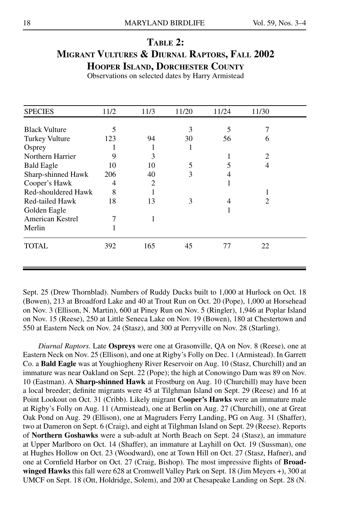## **Table 2: Migrant Vultures & Diurnal Raptors, Fall 2002 Hooper Island, Dorchester County**

Observations on selected dates by Harry Armistead

| <b>SPECIES</b>          | 11/2 | 11/3 | 11/20 | 11/24 | 11/30 |  |
|-------------------------|------|------|-------|-------|-------|--|
|                         |      |      |       |       |       |  |
| <b>Black Vulture</b>    | 5    |      | 3     | 5     |       |  |
| <b>Turkey Vulture</b>   | 123  | 94   | 30    | 56    | 6     |  |
| Osprey                  |      |      |       |       |       |  |
| Northern Harrier        |      | 3    |       |       | 2     |  |
| <b>Bald Eagle</b>       | 10   | 10   | 5     |       | 4     |  |
| Sharp-shinned Hawk      | 206  | 40   | 3     | 4     |       |  |
| Cooper's Hawk           | 4    | 2    |       |       |       |  |
| Red-shouldered Hawk     | 8    |      |       |       |       |  |
| Red-tailed Hawk         | 18   | 13   | 3     |       | 2     |  |
| Golden Eagle            |      |      |       |       |       |  |
| <b>American Kestrel</b> |      | 1    |       |       |       |  |
| Merlin                  |      |      |       |       |       |  |
| TOTAL                   | 392  | 165  | 45    | 77    | 22    |  |

Sept. 25 (Drew Thornblad). Numbers of Ruddy Ducks built to 1,000 at Hurlock on Oct. 18 (Bowen), 213 at Broadford Lake and 40 at Trout Run on Oct. 20 (Pope), 1,000 at Horsehead on Nov. 3 (Ellison, N. Martin), 600 at Piney Run on Nov. 5 (Ringler), 1,946 at Poplar Island on Nov. 15 (Reese), 250 at Little Seneca Lake on Nov. 19 (Bowen), 180 at Chestertown and 550 at Eastern Neck on Nov. 24 (Stasz), and 300 at Perryville on Nov. 28 (Starling).

*Diurnal Raptors.* Late **Ospreys** were one at Grasonville, QA on Nov. 8 (Reese), one at Eastern Neck on Nov. 25 (Ellison), and one at Rigby's Folly on Dec. 1 (Armistead). In Garrett Co. a **Bald Eagle** was at Youghiogheny River Reservoir on Aug. 10 (Stasz, Churchill) and an immature was near Oakland on Sept. 22 (Pope); the high at Conowingo Dam was 89 on Nov. 10 (Eastman). A **Sharp-shinned Hawk** at Frostburg on Aug. 10 (Churchill) may have been a local breeder; definite migrants were 45 at Tilghman Island on Sept. 29 (Reese) and 16 at Point Lookout on Oct. 31 (Cribb). Likely migrant **Cooper's Hawks** were an immature male at Rigby's Folly on Aug. 11 (Armistead), one at Berlin on Aug. 27 (Churchill), one at Great Oak Pond on Aug. 29 (Ellison), one at Magruders Ferry Landing, PG on Aug. 31 (Shaffer), two at Dameron on Sept. 6 (Craig), and eight at Tilghman Island on Sept. 29 (Reese). Reports of **Northern Goshawks** were a sub-adult at North Beach on Sept. 24 (Stasz), an immature at Upper Marlboro on Oct. 14 (Shaffer), an immature at Layhill on Oct. 19 (Sussman), one at Hughes Hollow on Oct. 23 (Woodward), one at Town Hill on Oct. 27 (Stasz, Hafner), and one at Cornfield Harbor on Oct. 27 (Craig, Bishop). The most impressive flights of **Broadwinged Hawks** this fall were 628 at Cromwell Valley Park on Sept. 18 (Jim Meyers +), 300 at UMCF on Sept. 18 (Ott, Holdridge, Solem), and 200 at Chesapeake Landing on Sept. 28 (N.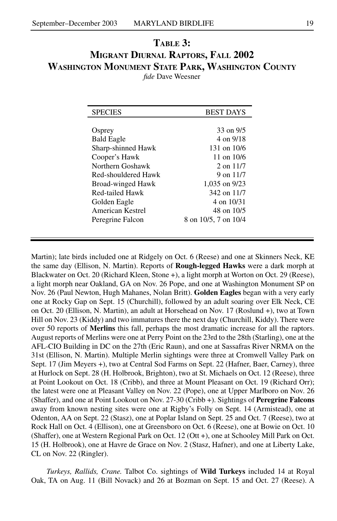#### **Table 3: Migrant Diurnal Raptors, Fall 2002 Washington Monument State Park, Washington County** *fide* Dave Weesner

| <b>SPECIES</b>      | <b>BEST DAYS</b>     |
|---------------------|----------------------|
|                     |                      |
| Osprey              | 33 on 9/5            |
| <b>Bald Eagle</b>   | 4 on 9/18            |
| Sharp-shinned Hawk  | 131 on 10/6          |
| Cooper's Hawk       | 11 on $10/6$         |
| Northern Goshawk    | $2$ on $11/7$        |
| Red-shouldered Hawk | 9 on $11/7$          |
| Broad-winged Hawk   | 1,035 on 9/23        |
| Red-tailed Hawk     | 342 on 11/7          |
| Golden Eagle        | 4 on 10/31           |
| American Kestrel    | 48 on 10/5           |
| Peregrine Falcon    | 8 on 10/5, 7 on 10/4 |
|                     |                      |

Martin); late birds included one at Ridgely on Oct. 6 (Reese) and one at Skinners Neck, KE the same day (Ellison, N. Martin). Reports of **Rough-legged Hawks** were a dark morph at Blackwater on Oct. 20 (Richard Kleen, Stone +), a light morph at Worton on Oct. 29 (Reese), a light morph near Oakland, GA on Nov. 26 Pope, and one at Washington Monument SP on Nov. 26 (Paul Newton, Hugh Mahanes, Nolan Britt). **Golden Eagles** began with a very early one at Rocky Gap on Sept. 15 (Churchill), followed by an adult soaring over Elk Neck, CE on Oct. 20 (Ellison, N. Martin), an adult at Horsehead on Nov. 17 (Roslund +), two at Town Hill on Nov. 23 (Kiddy) and two immatures there the next day (Churchill, Kiddy). There were over 50 reports of **Merlins** this fall, perhaps the most dramatic increase for all the raptors. August reports of Merlins were one at Perry Point on the 23rd to the 28th (Starling), one at the AFL-CIO Building in DC on the 27th (Eric Raun), and one at Sassafras River NRMA on the 31st (Ellison, N. Martin). Multiple Merlin sightings were three at Cromwell Valley Park on Sept. 17 (Jim Meyers +), two at Central Sod Farms on Sept. 22 (Hafner, Baer, Carney), three at Hurlock on Sept. 28 (H. Holbrook, Brighton), two at St. Michaels on Oct. 12 (Reese), three at Point Lookout on Oct. 18 (Cribb), and three at Mount Pleasant on Oct. 19 (Richard Orr); the latest were one at Pleasant Valley on Nov. 22 (Pope), one at Upper Marlboro on Nov. 26 (Shaffer), and one at Point Lookout on Nov. 27-30 (Cribb +). Sightings of **Peregrine Falcons** away from known nesting sites were one at Rigby's Folly on Sept. 14 (Armistead), one at Odenton, AA on Sept. 22 (Stasz), one at Poplar Island on Sept. 25 and Oct. 7 (Reese), two at Rock Hall on Oct. 4 (Ellison), one at Greensboro on Oct. 6 (Reese), one at Bowie on Oct. 10 (Shaffer), one at Western Regional Park on Oct. 12 (Ott +), one at Schooley Mill Park on Oct. 15 (H. Holbrook), one at Havre de Grace on Nov. 2 (Stasz, Hafner), and one at Liberty Lake, CL on Nov. 22 (Ringler).

*Turkeys, Rallids, Crane.* Talbot Co. sightings of **Wild Turkeys** included 14 at Royal Oak, TA on Aug. 11 (Bill Novack) and 26 at Bozman on Sept. 15 and Oct. 27 (Reese). A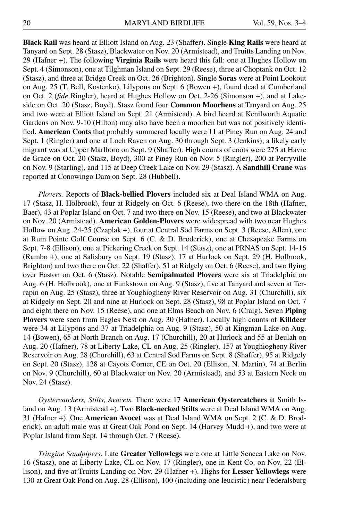**Black Rail** was heard at Elliott Island on Aug. 23 (Shaffer). Single **King Rails** were heard at Tanyard on Sept. 28 (Stasz), Blackwater on Nov. 20 (Armistead), and Truitts Landing on Nov. 29 (Hafner +). The following **Virginia Rails** were heard this fall: one at Hughes Hollow on Sept. 4 (Simonson), one at Tilghman Island on Sept. 29 (Reese), three at Choptank on Oct. 12 (Stasz), and three at Bridge Creek on Oct. 26 (Brighton). Single **Soras** were at Point Lookout on Aug. 25 (T. Bell, Kostenko), Lilypons on Sept. 6 (Bowen +), found dead at Cumberland on Oct. 2 (*fide* Ringler), heard at Hughes Hollow on Oct. 2-26 (Simonson +), and at Lakeside on Oct. 20 (Stasz, Boyd). Stasz found four **Common Moorhens** at Tanyard on Aug. 25 and two were at Elliott Island on Sept. 21 (Armistead). A bird heard at Kenilworth Aquatic Gardens on Nov. 9-10 (Hilton) may also have been a moorhen but was not positively identified. **American Coots** that probably summered locally were 11 at Piney Run on Aug. 24 and Sept. 1 (Ringler) and one at Loch Raven on Aug. 30 through Sept. 3 (Jenkins); a likely early migrant was at Upper Marlboro on Sept. 9 (Shaffer). High counts of coots were 275 at Havre de Grace on Oct. 20 (Stasz, Boyd), 300 at Piney Run on Nov. 5 (Ringler), 200 at Perryville on Nov. 9 (Starling), and 115 at Deep Creek Lake on Nov. 29 (Stasz). A **Sandhill Crane** was reported at Conowingo Dam on Sept. 28 (Hubbell).

*Plovers.* Reports of **Black-bellied Plovers** included six at Deal Island WMA on Aug. 17 (Stasz, H. Holbrook), four at Ridgely on Oct. 6 (Reese), two there on the 18th (Hafner, Baer), 43 at Poplar Island on Oct. 7 and two there on Nov. 15 (Reese), and two at Blackwater on Nov. 20 (Armistead). **American Golden-Plovers** were widespread with two near Hughes Hollow on Aug. 24-25 (Czaplak +), four at Central Sod Farms on Sept. 3 (Reese, Allen), one at Rum Pointe Golf Course on Sept. 6 (C. & D. Broderick), one at Chesapeake Farms on Sept. 7-8 (Ellison), one at Pickering Creek on Sept. 14 (Stasz), one at PRNAS on Sept. 14-16 (Rambo +), one at Salisbury on Sept. 19 (Stasz), 17 at Hurlock on Sept. 29 (H. Holbrook, Brighton) and two there on Oct. 22 (Shaffer), 51 at Ridgely on Oct. 6 (Reese), and two flying over Easton on Oct. 6 (Stasz). Notable **Semipalmated Plovers** were six at Triadelphia on Aug. 6 (H. Holbrook), one at Funkstown on Aug. 9 (Stasz), five at Tanyard and seven at Terrapin on Aug. 25 (Stasz), three at Youghiogheny River Reservoir on Aug. 31 (Churchill), six at Ridgely on Sept. 20 and nine at Hurlock on Sept. 28 (Stasz), 98 at Poplar Island on Oct. 7 and eight there on Nov. 15 (Reese), and one at Elms Beach on Nov. 6 (Craig). Seven **Piping Plovers** were seen from Eagles Nest on Aug. 30 (Hafner). Locally high counts of **Killdeer** were 34 at Lilypons and 37 at Triadelphia on Aug. 9 (Stasz), 50 at Kingman Lake on Aug. 14 (Bowen), 65 at North Branch on Aug. 17 (Churchill), 20 at Hurlock and 55 at Beulah on Aug. 20 (Hafner), 78 at Liberty Lake, CL on Aug. 25 (Ringler), 157 at Youghiogheny River Reservoir on Aug. 28 (Churchill), 63 at Central Sod Farms on Sept. 8 (Shaffer), 95 at Ridgely on Sept. 20 (Stasz), 128 at Cayots Corner, CE on Oct. 20 (Ellison, N. Martin), 74 at Berlin on Nov. 9 (Churchill), 60 at Blackwater on Nov. 20 (Armistead), and 53 at Eastern Neck on Nov. 24 (Stasz).

*Oystercatchers, Stilts, Avocets.* There were 17 **American Oystercatchers** at Smith Island on Aug. 13 (Armistead +). Two **Black-necked Stilts** were at Deal Island WMA on Aug. 31 (Hafner +). One **American Avocet** was at Deal Island WMA on Sept. 2 (C. & D. Broderick), an adult male was at Great Oak Pond on Sept. 14 (Harvey Mudd +), and two were at Poplar Island from Sept. 14 through Oct. 7 (Reese).

*Tringine Sandpipers.* Late **Greater Yellowlegs** were one at Little Seneca Lake on Nov. 16 (Stasz), one at Liberty Lake, CL on Nov. 17 (Ringler), one in Kent Co. on Nov. 22 (Ellison), and five at Truitts Landing on Nov. 29 (Hafner +). Highs for **Lesser Yellowlegs** were 130 at Great Oak Pond on Aug. 28 (Ellison), 100 (including one leucistic) near Federalsburg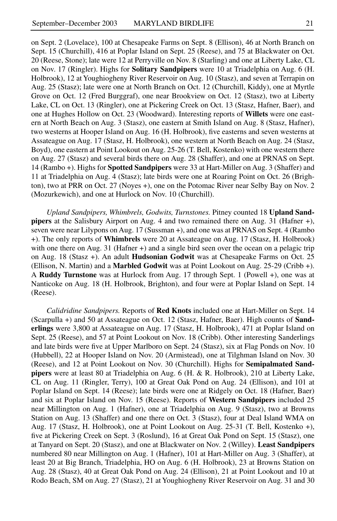on Sept. 2 (Lovelace), 100 at Chesapeake Farms on Sept. 8 (Ellison), 46 at North Branch on Sept. 15 (Churchill), 416 at Poplar Island on Sept. 25 (Reese), and 75 at Blackwater on Oct. 20 (Reese, Stone); late were 12 at Perryville on Nov. 8 (Starling) and one at Liberty Lake, CL on Nov. 17 (Ringler). Highs for **Solitary Sandpipers** were 10 at Triadelphia on Aug. 6 (H. Holbrook), 12 at Youghiogheny River Reservoir on Aug. 10 (Stasz), and seven at Terrapin on Aug. 25 (Stasz); late were one at North Branch on Oct. 12 (Churchill, Kiddy), one at Myrtle Grove on Oct. 12 (Fred Burggraf), one near Brookview on Oct. 12 (Stasz), two at Liberty Lake, CL on Oct. 13 (Ringler), one at Pickering Creek on Oct. 13 (Stasz, Hafner, Baer), and one at Hughes Hollow on Oct. 23 (Woodward). Interesting reports of **Willets** were one eastern at North Beach on Aug. 3 (Stasz), one eastern at Smith Island on Aug. 8 (Stasz, Hafner), two westerns at Hooper Island on Aug. 16 (H. Holbrook), five easterns and seven westerns at Assateague on Aug. 17 (Stasz, H. Holbrook), one western at North Beach on Aug. 24 (Stasz, Boyd), one eastern at Point Lookout on Aug. 25-26 (T. Bell, Kostenko) with one western there on Aug. 27 (Stasz) and several birds there on Aug. 28 (Shaffer), and one at PRNAS on Sept. 14 (Rambo +). Highs for **Spotted Sandpipers** were 33 at Hart-Miller on Aug. 3 (Shaffer) and 11 at Triadelphia on Aug. 4 (Stasz); late birds were one at Roaring Point on Oct. 26 (Brighton), two at PRR on Oct. 27 (Noyes +), one on the Potomac River near Selby Bay on Nov. 2 (Mozurkewich), and one at Hurlock on Nov. 10 (Churchill).

*Upland Sandpipers, Whimbrels, Godwits, Turnstones.* Pitney counted 18 **Upland Sandpipers** at the Salisbury Airport on Aug. 4 and two remained there on Aug. 31 (Hafner +), seven were near Lilypons on Aug. 17 (Sussman +), and one was at PRNAS on Sept. 4 (Rambo +). The only reports of **Whimbrels** were 20 at Assateague on Aug. 17 (Stasz, H. Holbrook) with one there on Aug. 31 (Hafner +) and a single bird seen over the ocean on a pelagic trip on Aug. 18 (Stasz +). An adult **Hudsonian Godwit** was at Chesapeake Farms on Oct. 25 (Ellison, N. Martin) and a **Marbled Godwit** was at Point Lookout on Aug. 25-29 (Cribb +). A **Ruddy Turnstone** was at Hurlock from Aug. 17 through Sept. 1 (Powell +), one was at Nanticoke on Aug. 18 (H. Holbrook, Brighton), and four were at Poplar Island on Sept. 14 (Reese).

*Calidridine Sandpipers.* Reports of **Red Knots** included one at Hart-Miller on Sept. 14 (Scarpulla +) and 50 at Assateague on Oct. 12 (Stasz, Hafner, Baer). High counts of **Sanderlings** were 3,800 at Assateague on Aug. 17 (Stasz, H. Holbrook), 471 at Poplar Island on Sept. 25 (Reese), and 57 at Point Lookout on Nov. 18 (Cribb). Other interesting Sanderlings and late birds were five at Upper Marlboro on Sept. 24 (Stasz), six at Flag Ponds on Nov. 10 (Hubbell), 22 at Hooper Island on Nov. 20 (Armistead), one at Tilghman Island on Nov. 30 (Reese), and 12 at Point Lookout on Nov. 30 (Churchill). Highs for **Semipalmated Sandpipers** were at least 80 at Triadelphia on Aug. 6 (H. & R. Holbrook), 210 at Liberty Lake, CL on Aug. 11 (Ringler, Terry), 100 at Great Oak Pond on Aug. 24 (Ellison), and 101 at Poplar Island on Sept. 14 (Reese); late birds were one at Ridgely on Oct. 18 (Hafner, Baer) and six at Poplar Island on Nov. 15 (Reese). Reports of **Western Sandpipers** included 25 near Millington on Aug. 1 (Hafner), one at Triadelphia on Aug. 9 (Stasz), two at Browns Station on Aug. 13 (Shaffer) and one there on Oct. 3 (Stasz), four at Deal Island WMA on Aug. 17 (Stasz, H. Holbrook), one at Point Lookout on Aug. 25-31 (T. Bell, Kostenko +), five at Pickering Creek on Sept. 3 (Roslund), 16 at Great Oak Pond on Sept. 15 (Stasz), one at Tanyard on Sept. 20 (Stasz), and one at Blackwater on Nov. 2 (Willey). **Least Sandpipers** numbered 80 near Millington on Aug. 1 (Hafner), 101 at Hart-Miller on Aug. 3 (Shaffer), at least 20 at Big Branch, Triadelphia, HO on Aug. 6 (H. Holbrook), 23 at Browns Station on Aug. 28 (Stasz), 40 at Great Oak Pond on Aug. 24 (Ellison), 21 at Point Lookout and 10 at Rodo Beach, SM on Aug. 27 (Stasz), 21 at Youghiogheny River Reservoir on Aug. 31 and 30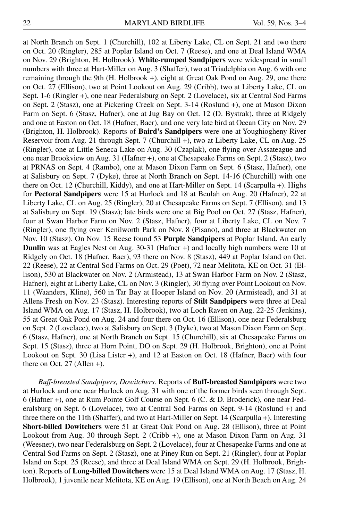at North Branch on Sept. 1 (Churchill), 102 at Liberty Lake, CL on Sept. 21 and two there on Oct. 20 (Ringler), 285 at Poplar Island on Oct. 7 (Reese), and one at Deal Island WMA on Nov. 29 (Brighton, H. Holbrook). **White-rumped Sandpipers** were widespread in small numbers with three at Hart-Miller on Aug. 3 (Shaffer), two at Triadelphia on Aug. 6 with one remaining through the 9th (H. Holbrook +), eight at Great Oak Pond on Aug. 29, one there on Oct. 27 (Ellison), two at Point Lookout on Aug. 29 (Cribb), two at Liberty Lake, CL on Sept. 1-6 (Ringler +), one near Federalsburg on Sept. 2 (Lovelace), six at Central Sod Farms on Sept. 2 (Stasz), one at Pickering Creek on Sept. 3-14 (Roslund +), one at Mason Dixon Farm on Sept. 6 (Stasz, Hafner), one at Jug Bay on Oct. 12 (D. Bystrak), three at Ridgely and one at Easton on Oct. 18 (Hafner, Baer), and one very late bird at Ocean City on Nov. 29 (Brighton, H. Holbrook). Reports of **Baird's Sandpipers** were one at Youghiogheny River Reservoir from Aug. 21 through Sept. 7 (Churchill +), two at Liberty Lake, CL on Aug. 25 (Ringler), one at Little Seneca Lake on Aug. 30 (Czaplak), one flying over Assateague and one near Brookview on Aug. 31 (Hafner +), one at Chesapeake Farms on Sept. 2 (Stasz), two at PRNAS on Sept. 4 (Rambo), one at Mason Dixon Farm on Sept. 6 (Stasz, Hafner), one at Salisbury on Sept. 7 (Dyke), three at North Branch on Sept. 14-16 (Churchill) with one there on Oct. 12 (Churchill, Kiddy), and one at Hart-Miller on Sept. 14 (Scarpulla +). Highs for **Pectoral Sandpipers** were 15 at Hurlock and 18 at Beulah on Aug. 20 (Hafner), 22 at Liberty Lake, CL on Aug. 25 (Ringler), 20 at Chesapeake Farms on Sept. 7 (Ellison), and 13 at Salisbury on Sept. 19 (Stasz); late birds were one at Big Pool on Oct. 27 (Stasz, Hafner), four at Swan Harbor Farm on Nov. 2 (Stasz, Hafner), four at Liberty Lake, CL on Nov. 7 (Ringler), one flying over Kenilworth Park on Nov. 8 (Pisano), and three at Blackwater on Nov. 10 (Stasz). On Nov. 15 Reese found 53 **Purple Sandpipers** at Poplar Island. An early **Dunlin** was at Eagles Nest on Aug. 30-31 (Hafner +) and locally high numbers were 10 at Ridgely on Oct. 18 (Hafner, Baer), 93 there on Nov. 8 (Stasz), 449 at Poplar Island on Oct. 22 (Reese), 22 at Central Sod Farms on Oct. 29 (Poet), 72 near Melitota, KE on Oct. 31 (Ellison), 530 at Blackwater on Nov. 2 (Armistead), 13 at Swan Harbor Farm on Nov. 2 (Stasz, Hafner), eight at Liberty Lake, CL on Nov. 3 (Ringler), 30 flying over Point Lookout on Nov. 11 (Waanders, Kline), 560 in Tar Bay at Hooper Island on Nov. 20 (Armistead), and 31 at Allens Fresh on Nov. 23 (Stasz). Interesting reports of **Stilt Sandpipers** were three at Deal Island WMA on Aug. 17 (Stasz, H. Holbrook), two at Loch Raven on Aug. 22-25 (Jenkins), 55 at Great Oak Pond on Aug. 24 and four there on Oct. 16 (Ellison), one near Federalsburg on Sept. 2 (Lovelace), two at Salisbury on Sept. 3 (Dyke), two at Mason Dixon Farm on Sept. 6 (Stasz, Hafner), one at North Branch on Sept. 15 (Churchill), six at Chesapeake Farms on Sept. 15 (Stasz), three at Horn Point, DO on Sept. 29 (H. Holbrook, Brighton), one at Point Lookout on Sept. 30 (Lisa Lister +), and 12 at Easton on Oct. 18 (Hafner, Baer) with four there on Oct. 27 (Allen  $+$ ).

*Buff-breasted Sandpipers, Dowitchers.* Reports of **Buff-breasted Sandpipers** were two at Hurlock and one near Hurlock on Aug. 31 with one of the former birds seen through Sept. 6 (Hafner +), one at Rum Pointe Golf Course on Sept. 6 (C. & D. Broderick), one near Federalsburg on Sept. 6 (Lovelace), two at Central Sod Farms on Sept. 9-14 (Roslund +) and three there on the 11th (Shaffer), and two at Hart-Miller on Sept. 14 (Scarpulla +). Interesting **Short-billed Dowitchers** were 51 at Great Oak Pond on Aug. 28 (Ellison), three at Point Lookout from Aug. 30 through Sept. 2 (Cribb +), one at Mason Dixon Farm on Aug. 31 (Weesner), two near Federalsburg on Sept. 2 (Lovelace), four at Chesapeake Farms and one at Central Sod Farms on Sept. 2 (Stasz), one at Piney Run on Sept. 21 (Ringler), four at Poplar Island on Sept. 25 (Reese), and three at Deal Island WMA on Sept. 29 (H. Holbrook, Brighton). Reports of **Long-billed Dowitchers** were 15 at Deal Island WMA on Aug. 17 (Stasz, H. Holbrook), 1 juvenile near Melitota, KE on Aug. 19 (Ellison), one at North Beach on Aug. 24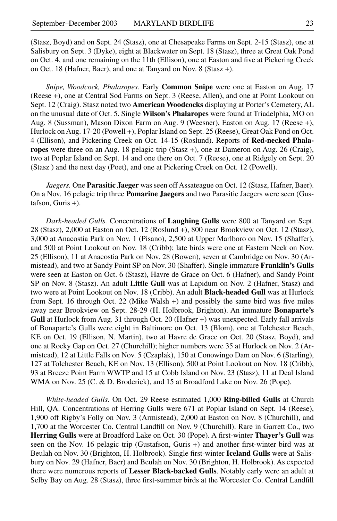(Stasz, Boyd) and on Sept. 24 (Stasz), one at Chesapeake Farms on Sept. 2-15 (Stasz), one at Salisbury on Sept. 3 (Dyke), eight at Blackwater on Sept. 18 (Stasz), three at Great Oak Pond on Oct. 4, and one remaining on the 11th (Ellison), one at Easton and five at Pickering Creek on Oct. 18 (Hafner, Baer), and one at Tanyard on Nov. 8 (Stasz +).

*Snipe, Woodcock, Phalaropes.* Early **Common Snipe** were one at Easton on Aug. 17 (Reese +), one at Central Sod Farms on Sept. 3 (Reese, Allen), and one at Point Lookout on Sept. 12 (Craig). Stasz noted two **American Woodcocks** displaying at Porter's Cemetery, AL on the unusual date of Oct. 5. Single **Wilson's Phalaropes** were found at Triadelphia, MO on Aug. 8 (Sussman), Mason Dixon Farm on Aug. 9 (Weesner), Easton on Aug. 17 (Reese +), Hurlock on Aug. 17-20 (Powell +), Poplar Island on Sept. 25 (Reese), Great Oak Pond on Oct. 4 (Ellison), and Pickering Creek on Oct. 14-15 (Roslund). Reports of **Red-necked Phalaropes** were three on an Aug. 18 pelagic trip (Stasz +), one at Dameron on Aug. 26 (Craig), two at Poplar Island on Sept. 14 and one there on Oct. 7 (Reese), one at Ridgely on Sept. 20 (Stasz ) and the next day (Poet), and one at Pickering Creek on Oct. 12 (Powell).

*Jaegers.* One **Parasitic Jaeger** was seen off Assateague on Oct. 12 (Stasz, Hafner, Baer). On a Nov. 16 pelagic trip three **Pomarine Jaegers** and two Parasitic Jaegers were seen (Gustafson, Guris +).

*Dark-headed Gulls.* Concentrations of **Laughing Gulls** were 800 at Tanyard on Sept. 28 (Stasz), 2,000 at Easton on Oct. 12 (Roslund +), 800 near Brookview on Oct. 12 (Stasz), 3,000 at Anacostia Park on Nov. 1 (Pisano), 2,500 at Upper Marlboro on Nov. 15 (Shaffer), and 500 at Point Lookout on Nov. 18 (Cribb); late birds were one at Eastern Neck on Nov. 25 (Ellison), 11 at Anacostia Park on Nov. 28 (Bowen), seven at Cambridge on Nov. 30 (Armistead), and two at Sandy Point SP on Nov. 30 (Shaffer). Single immature **Franklin's Gulls** were seen at Easton on Oct. 6 (Stasz), Havre de Grace on Oct. 6 (Hafner), and Sandy Point SP on Nov. 8 (Stasz). An adult **Little Gull** was at Lapidum on Nov. 2 (Hafner, Stasz) and two were at Point Lookout on Nov. 18 (Cribb). An adult **Black-headed Gull** was at Hurlock from Sept. 16 through Oct. 22 (Mike Walsh +) and possibly the same bird was five miles away near Brookview on Sept. 28-29 (H. Holbrook, Brighton). An immature **Bonaparte's Gull** at Hurlock from Aug. 31 through Oct. 20 (Hafner +) was unexpected. Early fall arrivals of Bonaparte's Gulls were eight in Baltimore on Oct. 13 (Blom), one at Tolchester Beach, KE on Oct. 19 (Ellison, N. Martin), two at Havre de Grace on Oct. 20 (Stasz, Boyd), and one at Rocky Gap on Oct. 27 (Churchill); higher numbers were 35 at Hurlock on Nov. 2 (Armistead), 12 at Little Falls on Nov. 5 (Czaplak), 150 at Conowingo Dam on Nov. 6 (Starling), 127 at Tolchester Beach, KE on Nov. 13 (Ellison), 500 at Point Lookout on Nov. 18 (Cribb), 93 at Breeze Point Farm WWTP and 15 at Cobb Island on Nov. 23 (Stasz), 11 at Deal Island WMA on Nov. 25 (C. & D. Broderick), and 15 at Broadford Lake on Nov. 26 (Pope).

*White-headed Gulls.* On Oct. 29 Reese estimated 1,000 **Ring-billed Gulls** at Church Hill, QA. Concentrations of Herring Gulls were 671 at Poplar Island on Sept. 14 (Reese), 1,900 off Rigby's Folly on Nov. 3 (Armistead), 2,000 at Easton on Nov. 8 (Churchill), and 1,700 at the Worcester Co. Central Landfill on Nov. 9 (Churchill). Rare in Garrett Co., two **Herring Gulls** were at Broadford Lake on Oct. 30 (Pope). A first-winter **Thayer's Gull** was seen on the Nov. 16 pelagic trip (Gustafson, Guris +) and another first-winter bird was at Beulah on Nov. 30 (Brighton, H. Holbrook). Single first-winter **Iceland Gulls** were at Salisbury on Nov. 29 (Hafner, Baer) and Beulah on Nov. 30 (Brighton, H. Holbrook). As expected there were numerous reports of **Lesser Black-backed Gulls**. Notably early were an adult at Selby Bay on Aug. 28 (Stasz), three first-summer birds at the Worcester Co. Central Landfill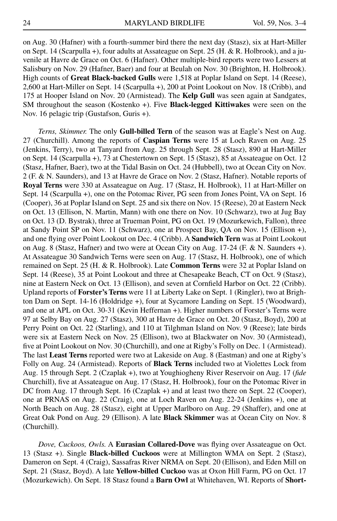on Aug. 30 (Hafner) with a fourth-summer bird there the next day (Stasz), six at Hart-Miller on Sept. 14 (Scarpulla +), four adults at Assateague on Sept. 25 (H. & R. Holbrook), and a juvenile at Havre de Grace on Oct. 6 (Hafner). Other multiple-bird reports were two Lessers at Salisbury on Nov. 29 (Hafner, Baer) and four at Beulah on Nov. 30 (Brighton, H. Holbrook). High counts of **Great Black-backed Gulls** were 1,518 at Poplar Island on Sept. 14 (Reese), 2,600 at Hart-Miller on Sept. 14 (Scarpulla +), 200 at Point Lookout on Nov. 18 (Cribb), and 175 at Hooper Island on Nov. 20 (Armistead). The **Kelp Gull** was seen again at Sandgates, SM throughout the season (Kostenko +). Five **Black-legged Kittiwakes** were seen on the Nov. 16 pelagic trip (Gustafson, Guris +).

*Terns, Skimmer.* The only **Gull-billed Tern** of the season was at Eagle's Nest on Aug. 27 (Churchill). Among the reports of **Caspian Terns** were 15 at Loch Raven on Aug. 25 (Jenkins, Terry), two at Tanyard from Aug. 25 through Sept. 28 (Stasz), 890 at Hart-Miller on Sept. 14 (Scarpulla +), 73 at Chestertown on Sept. 15 (Stasz), 85 at Assateague on Oct. 12 (Stasz, Hafner, Baer), two at the Tidal Basin on Oct. 24 (Hubbell), two at Ocean City on Nov. 2 (F. & N. Saunders), and 13 at Havre de Grace on Nov. 2 (Stasz, Hafner). Notable reports of **Royal Terns** were 330 at Assateague on Aug. 17 (Stasz, H. Holbrook), 11 at Hart-Miller on Sept. 14 (Scarpulla +), one on the Potomac River, PG seen from Jones Point, VA on Sept. 16 (Cooper), 36 at Poplar Island on Sept. 25 and six there on Nov. 15 (Reese), 20 at Eastern Neck on Oct. 13 (Ellison, N. Martin, Mann) with one there on Nov. 10 (Schwarz), two at Jug Bay on Oct. 13 (D. Bystrak), three at Trueman Point, PG on Oct. 19 (Mozurkewich, Fallon), three at Sandy Point SP on Nov. 11 (Schwarz), one at Prospect Bay, QA on Nov. 15 (Ellison +), and one flying over Point Lookout on Dec. 4 (Cribb). A **Sandwich Tern** was at Point Lookout on Aug. 8 (Stasz, Hafner) and two were at Ocean City on Aug. 17-24 (F. & N. Saunders +). At Assateague 30 Sandwich Terns were seen on Aug. 17 (Stasz, H. Holbrook), one of which remained on Sept. 25 (H. & R. Holbrook). Late **Common Terns** were 32 at Poplar Island on Sept. 14 (Reese), 35 at Point Lookout and three at Chesapeake Beach, CT on Oct. 9 (Stasz), nine at Eastern Neck on Oct. 13 (Ellison), and seven at Cornfield Harbor on Oct. 22 (Cribb). Upland reports of **Forster's Terns** were 11 at Liberty Lake on Sept. 1 (Ringler), two at Brighton Dam on Sept. 14-16 (Holdridge +), four at Sycamore Landing on Sept. 15 (Woodward), and one at APL on Oct. 30-31 (Kevin Heffernan +). Higher numbers of Forster's Terns were 97 at Selby Bay on Aug. 27 (Stasz), 300 at Havre de Grace on Oct. 20 (Stasz, Boyd), 200 at Perry Point on Oct. 22 (Starling), and 110 at Tilghman Island on Nov. 9 (Reese); late birds were six at Eastern Neck on Nov. 25 (Ellison), two at Blackwater on Nov. 30 (Armistead), five at Point Lookout on Nov. 30 (Churchill), and one at Rigby's Folly on Dec. 1 (Armistead). The last **Least Terns** reported were two at Lakeside on Aug. 8 (Eastman) and one at Rigby's Folly on Aug. 24 (Armistead). Reports of **Black Terns** included two at Violettes Lock from Aug. 15 through Sept. 2 (Czaplak +), two at Youghiogheny River Reservoir on Aug. 17 (*fide* Churchill), five at Assateague on Aug. 17 (Stasz, H. Holbrook), four on the Potomac River in DC from Aug. 17 through Sept. 16 (Czaplak +) and at least two there on Sept. 22 (Cooper), one at PRNAS on Aug. 22 (Craig), one at Loch Raven on Aug. 22-24 (Jenkins +), one at North Beach on Aug. 28 (Stasz), eight at Upper Marlboro on Aug. 29 (Shaffer), and one at Great Oak Pond on Aug. 29 (Ellison). A late **Black Skimmer** was at Ocean City on Nov. 8 (Churchill).

*Dove, Cuckoos, Owls.* A **Eurasian Collared-Dove** was flying over Assateague on Oct. 13 (Stasz +). Single **Black-billed Cuckoos** were at Millington WMA on Sept. 2 (Stasz), Dameron on Sept. 4 (Craig), Sassafras River NRMA on Sept. 20 (Ellison), and Eden Mill on Sept. 21 (Stasz, Boyd). A late **Yellow-billed Cuckoo** was at Oxon Hill Farm, PG on Oct. 17 (Mozurkewich). On Sept. 18 Stasz found a **Barn Owl** at Whitehaven, WI. Reports of **Short-**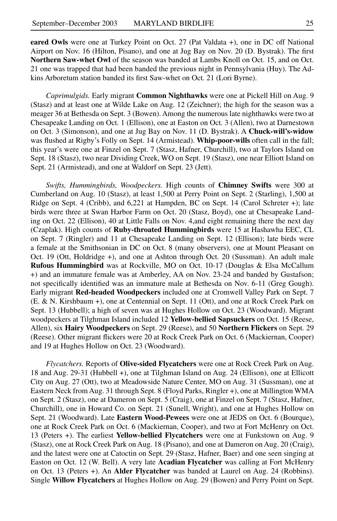**eared Owls** were one at Turkey Point on Oct. 27 (Pat Valdata +), one in DC off National Airport on Nov. 16 (Hilton, Pisano), and one at Jug Bay on Nov. 20 (D. Bystrak). The first **Northern Saw-whet Owl** of the season was banded at Lambs Knoll on Oct. 15, and on Oct. 21 one was trapped that had been banded the previous night in Pennsylvania (Huy). The Adkins Arboretum station banded its first Saw-whet on Oct. 21 (Lori Byrne).

*Caprimulgids.* Early migrant **Common Nighthawks** were one at Pickell Hill on Aug. 9 (Stasz) and at least one at Wilde Lake on Aug. 12 (Zeichner); the high for the season was a meager 36 at Bethesda on Sept. 3 (Bowen). Among the numerous late nighthawks were two at Chesapeake Landing on Oct. 1 (Ellison), one at Easton on Oct. 3 (Allen), two at Darnestown on Oct. 3 (Simonson), and one at Jug Bay on Nov. 11 (D. Bystrak). A **Chuck-will's-widow** was flushed at Rigby's Folly on Sept. 14 (Armistead). **Whip-poor-wills** often call in the fall; this year's were one at Finzel on Sept. 7 (Stasz, Hafner, Churchill), two at Taylors Island on Sept. 18 (Stasz), two near Dividing Creek, WO on Sept. 19 (Stasz), one near Elliott Island on Sept. 21 (Armistead), and one at Waldorf on Sept. 23 (Jett).

*Swifts, Hummingbirds, Woodpeckers.* High counts of **Chimney Swifts** were 300 at Cumberland on Aug. 10 (Stasz), at least 1,500 at Perry Point on Sept. 2 (Starling), 1,500 at Ridge on Sept. 4 (Cribb), and 6,221 at Hampden, BC on Sept. 14 (Carol Schreter +); late birds were three at Swan Harbor Farm on Oct. 20 (Stasz, Boyd), one at Chesapeake Landing on Oct. 22 (Ellison), 40 at Little Falls on Nov. 4,and eight remaining there the next day (Czaplak). High counts of **Ruby-throated Hummingbirds** were 15 at Hashawha EEC, CL on Sept. 7 (Ringler) and 11 at Chesapeake Landing on Sept. 12 (Ellison); late birds were a female at the Smithsonian in DC on Oct. 8 (many observers), one at Mount Pleasant on Oct. 19 (Ott, Holdridge +), and one at Ashton through Oct. 20 (Sussman). An adult male **Rufous Hummingbird** was at Rockville, MO on Oct. 10-17 (Douglas & Elsa McCallum +) and an immature female was at Amberley, AA on Nov. 23-24 and banded by Gustafson; not specifically identified was an immature male at Bethesda on Nov. 6-11 (Greg Gough). Early migrant **Red-headed Woodpeckers** included one at Cromwell Valley Park on Sept. 7 (E. & N. Kirshbaum +), one at Centennial on Sept. 11 (Ott), and one at Rock Creek Park on Sept. 13 (Hubbell); a high of seven was at Hughes Hollow on Oct. 23 (Woodward). Migrant woodpeckers at Tilghman Island included 12 **Yellow-bellied Sapsuckers** on Oct. 15 (Reese, Allen), six **Hairy Woodpeckers** on Sept. 29 (Reese), and 50 **Northern Flickers** on Sept. 29 (Reese). Other migrant flickers were 20 at Rock Creek Park on Oct. 6 (Mackiernan, Cooper) and 19 at Hughes Hollow on Oct. 23 (Woodward).

*Flycatchers.* Reports of **Olive-sided Flycatchers** were one at Rock Creek Park on Aug. 18 and Aug. 29-31 (Hubbell +), one at Tilghman Island on Aug. 24 (Ellison), one at Ellicott City on Aug. 27 (Ott), two at Meadowside Nature Center, MO on Aug. 31 (Sussman), one at Eastern Neck from Aug. 31 through Sept. 8 (Floyd Parks, Ringler +), one at Millington WMA on Sept. 2 (Stasz), one at Dameron on Sept. 5 (Craig), one at Finzel on Sept. 7 (Stasz, Hafner, Churchill), one in Howard Co. on Sept. 21 (Sunell, Wright), and one at Hughes Hollow on Sept. 21 (Woodward). Late **Eastern Wood-Pewees** were one at JEDS on Oct. 6 (Bourque), one at Rock Creek Park on Oct. 6 (Mackiernan, Cooper), and two at Fort McHenry on Oct. 13 (Peters +). The earliest **Yellow-bellied Flycatchers** were one at Funkstown on Aug. 9 (Stasz), one at Rock Creek Park on Aug. 18 (Pisano), and one at Dameron on Aug. 20 (Craig), and the latest were one at Catoctin on Sept. 29 (Stasz, Hafner, Baer) and one seen singing at Easton on Oct. 12 (W. Bell). A very late **Acadian Flycatcher** was calling at Fort McHenry on Oct. 13 (Peters +). An **Alder Flycatcher** was banded at Laurel on Aug. 24 (Robbins). Single **Willow Flycatchers** at Hughes Hollow on Aug. 29 (Bowen) and Perry Point on Sept.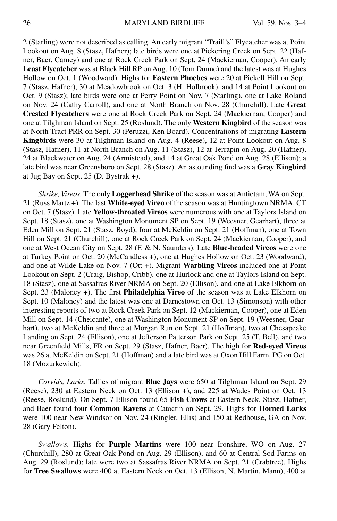2 (Starling) were not described as calling. An early migrant "Traill's" Flycatcher was at Point Lookout on Aug. 8 (Stasz, Hafner); late birds were one at Pickering Creek on Sept. 22 (Hafner, Baer, Carney) and one at Rock Creek Park on Sept. 24 (Mackiernan, Cooper). An early **Least Flycatcher** was at Black Hill RP on Aug. 10 (Tom Dunne) and the latest was at Hughes Hollow on Oct. 1 (Woodward). Highs for **Eastern Phoebes** were 20 at Pickell Hill on Sept. 7 (Stasz, Hafner), 30 at Meadowbrook on Oct. 3 (H. Holbrook), and 14 at Point Lookout on Oct. 9 (Stasz); late birds were one at Perry Point on Nov. 7 (Starling), one at Lake Roland on Nov. 24 (Cathy Carroll), and one at North Branch on Nov. 28 (Churchill). Late **Great Crested Flycatchers** were one at Rock Creek Park on Sept. 24 (Mackiernan, Cooper) and one at Tilghman Island on Sept. 25 (Roslund). The only **Western Kingbird** of the season was at North Tract PRR on Sept. 30 (Peruzzi, Ken Board). Concentrations of migrating **Eastern Kingbirds** were 30 at Tilghman Island on Aug. 4 (Reese), 12 at Point Lookout on Aug. 8 (Stasz, Hafner), 11 at North Branch on Aug. 11 (Stasz), 12 at Terrapin on Aug. 20 (Hafner), 24 at Blackwater on Aug. 24 (Armistead), and 14 at Great Oak Pond on Aug. 28 (Ellison); a late bird was near Greensboro on Sept. 28 (Stasz). An astounding find was a **Gray Kingbird** at Jug Bay on Sept. 25 (D. Bystrak +).

*Shrike, Vireos.* The only **Loggerhead Shrike** of the season was at Antietam, WA on Sept. 21 (Russ Martz +). The last **White-eyed Vireo** of the season was at Huntingtown NRMA, CT on Oct. 7 (Stasz). Late **Yellow-throated Vireos** were numerous with one at Taylors Island on Sept. 18 (Stasz), one at Washington Monument SP on Sept. 19 (Weesner, Gearhart), three at Eden Mill on Sept. 21 (Stasz, Boyd), four at McKeldin on Sept. 21 (Hoffman), one at Town Hill on Sept. 21 (Churchill), one at Rock Creek Park on Sept. 24 (Mackiernan, Cooper), and one at West Ocean City on Sept. 28 (F. & N. Saunders). Late **Blue-headed Vireos** were one at Turkey Point on Oct. 20 (McCandless +), one at Hughes Hollow on Oct. 23 (Woodward), and one at Wilde Lake on Nov. 7 (Ott +). Migrant **Warbling Vireos** included one at Point Lookout on Sept. 2 (Craig, Bishop, Cribb), one at Hurlock and one at Taylors Island on Sept. 18 (Stasz), one at Sassafras River NRMA on Sept. 20 (Ellison), and one at Lake Elkhorn on Sept. 23 (Maloney +). The first **Philadelphia Vireo** of the season was at Lake Elkhorn on Sept. 10 (Maloney) and the latest was one at Darnestown on Oct. 13 (Simonson) with other interesting reports of two at Rock Creek Park on Sept. 12 (Mackiernan, Cooper), one at Eden Mill on Sept. 14 (Cheicante), one at Washington Monument SP on Sept. 19 (Weesner, Gearhart), two at McKeldin and three at Morgan Run on Sept. 21 (Hoffman), two at Chesapeake Landing on Sept. 24 (Ellison), one at Jefferson Patterson Park on Sept. 25 (T. Bell), and two near Greenfield Mills, FR on Sept. 29 (Stasz, Hafner, Baer). The high for **Red-eyed Vireos** was 26 at McKeldin on Sept. 21 (Hoffman) and a late bird was at Oxon Hill Farm, PG on Oct. 18 (Mozurkewich).

*Corvids, Larks.* Tallies of migrant **Blue Jays** were 650 at Tilghman Island on Sept. 29 (Reese), 230 at Eastern Neck on Oct. 13 (Ellison +), and 225 at Wades Point on Oct. 13 (Reese, Roslund). On Sept. 7 Ellison found 65 **Fish Crows** at Eastern Neck. Stasz, Hafner, and Baer found four **Common Ravens** at Catoctin on Sept. 29. Highs for **Horned Larks** were 100 near New Windsor on Nov. 24 (Ringler, Ellis) and 150 at Redhouse, GA on Nov. 28 (Gary Felton).

*Swallows.* Highs for **Purple Martins** were 100 near Ironshire, WO on Aug. 27 (Churchill), 280 at Great Oak Pond on Aug. 29 (Ellison), and 60 at Central Sod Farms on Aug. 29 (Roslund); late were two at Sassafras River NRMA on Sept. 21 (Crabtree). Highs for **Tree Swallows** were 400 at Eastern Neck on Oct. 13 (Ellison, N. Martin, Mann), 400 at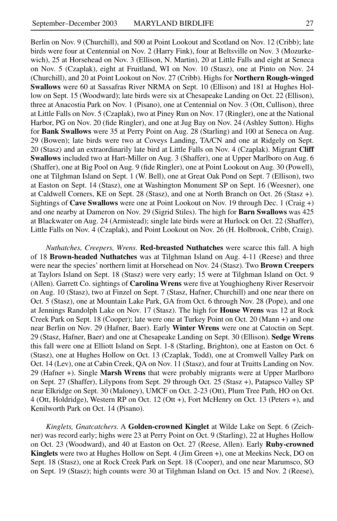Berlin on Nov. 9 (Churchill), and 500 at Point Lookout and Scotland on Nov. 12 (Cribb); late birds were four at Centennial on Nov. 2 (Harry Fink), four at Beltsville on Nov. 3 (Mozurkewich), 25 at Horsehead on Nov. 3 (Ellison, N. Martin), 20 at Little Falls and eight at Seneca on Nov. 5 (Czaplak), eight at Fruitland, WI on Nov. 10 (Stasz), one at Pinto on Nov. 24 (Churchill), and 20 at Point Lookout on Nov. 27 (Cribb). Highs for **Northern Rough-winged Swallows** were 60 at Sassafras River NRMA on Sept. 10 (Ellison) and 181 at Hughes Hollow on Sept. 15 (Woodward); late birds were six at Chesapeake Landing on Oct. 22 (Ellison), three at Anacostia Park on Nov. 1 (Pisano), one at Centennial on Nov. 3 (Ott, Cullison), three at Little Falls on Nov. 5 (Czaplak), two at Piney Run on Nov. 17 (Ringler), one at the National Harbor, PG on Nov. 20 (fide Ringler), and one at Jug Bay on Nov. 24 (Ashley Sutton). Highs for **Bank Swallows** were 35 at Perry Point on Aug. 28 (Starling) and 100 at Seneca on Aug. 29 (Bowen); late birds were two at Coveys Landing, TA/CN and one at Ridgely on Sept. 20 (Stasz) and an extraordinarily late bird at Little Falls on Nov. 4 (Czaplak). Migrant **Cliff Swallows** included two at Hart-Miller on Aug. 3 (Shaffer), one at Upper Marlboro on Aug. 6 (Shaffer), one at Big Pool on Aug. 9 (fide Ringler), one at Point Lookout on Aug. 30 (Powell), one at Tilghman Island on Sept. 1 (W. Bell), one at Great Oak Pond on Sept. 7 (Ellison), two at Easton on Sept. 14 (Stasz), one at Washington Monument SP on Sept. 16 (Weesner), one at Caldwell Corners, KE on Sept. 28 (Stasz), and one at North Branch on Oct. 26 (Stasz +). Sightings of **Cave Swallows** were one at Point Lookout on Nov. 19 through Dec. 1 (Craig +) and one nearby at Dameron on Nov. 29 (Sigrid Stiles). The high for **Barn Swallows** was 425 at Blackwater on Aug. 24 (Armistead); single late birds were at Hurlock on Oct. 22 (Shaffer), Little Falls on Nov. 4 (Czaplak), and Point Lookout on Nov. 26 (H. Holbrook, Cribb, Craig).

*Nuthatches, Creepers, Wrens.* **Red-breasted Nuthatches** were scarce this fall. A high of 18 **Brown-headed Nuthatches** was at Tilghman Island on Aug. 4-11 (Reese) and three were near the species' northern limit at Horsehead on Nov. 24 (Stasz). Two **Brown Creepers** at Taylors Island on Sept. 18 (Stasz) were very early; 15 were at Tilghman Island on Oct. 9 (Allen). Garrett Co. sightings of **Carolina Wrens** were five at Youghiogheny River Reservoir on Aug. 10 (Stasz), two at Finzel on Sept. 7 (Stasz, Hafner, Churchill) and one near there on Oct. 5 (Stasz), one at Mountain Lake Park, GA from Oct. 6 through Nov. 28 (Pope), and one at Jennings Randolph Lake on Nov. 17 (Stasz). The high for **House Wrens** was 12 at Rock Creek Park on Sept. 18 (Cooper); late were one at Turkey Point on Oct. 20 (Mann +) and one near Berlin on Nov. 29 (Hafner, Baer). Early **Winter Wrens** were one at Catoctin on Sept. 29 (Stasz, Hafner, Baer) and one at Chesapeake Landing on Sept. 30 (Ellison). **Sedge Wrens** this fall were one at Elliott Island on Sept. 1-8 (Starling, Brighton), one at Easton on Oct. 6 (Stasz), one at Hughes Hollow on Oct. 13 (Czaplak, Todd), one at Cromwell Valley Park on Oct. 14 (Lev), one at Cabin Creek, QA on Nov. 11 (Stasz), and four at Truitts Landing on Nov. 29 (Hafner +). Single **Marsh Wrens** that were probably migrants were at Upper Marlboro on Sept. 27 (Shaffer), Lilypons from Sept. 29 through Oct. 25 (Stasz +), Patapsco Valley SP near Elkridge on Sept. 30 (Maloney), UMCF on Oct. 2-23 (Ott), Plum Tree Path, HO on Oct. 4 (Ott, Holdridge), Western RP on Oct. 12 (Ott +), Fort McHenry on Oct. 13 (Peters +), and Kenilworth Park on Oct. 14 (Pisano).

*Kinglets, Gnatcatchers.* A **Golden-crowned Kinglet** at Wilde Lake on Sept. 6 (Zeichner) was record early; highs were 23 at Perry Point on Oct. 9 (Starling), 22 at Hughes Hollow on Oct. 23 (Woodward), and 40 at Easton on Oct. 27 (Reese, Allen). Early **Ruby-crowned Kinglets** were two at Hughes Hollow on Sept. 4 (Jim Green +), one at Meekins Neck, DO on Sept. 18 (Stasz), one at Rock Creek Park on Sept. 18 (Cooper), and one near Marumsco, SO on Sept. 19 (Stasz); high counts were 30 at Tilghman Island on Oct. 15 and Nov. 2 (Reese),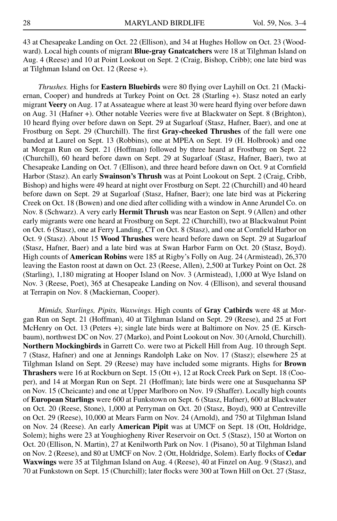43 at Chesapeake Landing on Oct. 22 (Ellison), and 34 at Hughes Hollow on Oct. 23 (Woodward). Local high counts of migrant **Blue-gray Gnatcatchers** were 18 at Tilghman Island on Aug. 4 (Reese) and 10 at Point Lookout on Sept. 2 (Craig, Bishop, Cribb); one late bird was at Tilghman Island on Oct. 12 (Reese +).

*Thrushes.* Highs for **Eastern Bluebirds** were 80 flying over Layhill on Oct. 21 (Mackiernan, Cooper) and hundreds at Turkey Point on Oct. 28 (Starling +). Stasz noted an early migrant **Veery** on Aug. 17 at Assateague where at least 30 were heard flying over before dawn on Aug. 31 (Hafner +). Other notable Veeries were five at Blackwater on Sept. 8 (Brighton), 10 heard flying over before dawn on Sept. 29 at Sugarloaf (Stasz, Hafner, Baer), and one at Frostburg on Sept. 29 (Churchill). The first **Gray-cheeked Thrushes** of the fall were one banded at Laurel on Sept. 13 (Robbins), one at MPEA on Sept. 19 (H. Holbrook) and one at Morgan Run on Sept. 21 (Hoffman) followed by three heard at Frostburg on Sept. 22 (Churchill), 60 heard before dawn on Sept. 29 at Sugarloaf (Stasz, Hafner, Baer), two at Chesapeake Landing on Oct. 7 (Ellison), and three heard before dawn on Oct. 9 at Cornfield Harbor (Stasz). An early **Swainson's Thrush** was at Point Lookout on Sept. 2 (Craig, Cribb, Bishop) and highs were 49 heard at night over Frostburg on Sept. 22 (Churchill) and 40 heard before dawn on Sept. 29 at Sugarloaf (Stasz, Hafner, Baer); one late bird was at Pickering Creek on Oct. 18 (Bowen) and one died after colliding with a window in Anne Arundel Co. on Nov. 8 (Schwarz). A very early **Hermit Thrush** was near Easton on Sept. 9 (Allen) and other early migrants were one heard at Frostburg on Sept. 22 (Churchill), two at Blackwalnut Point on Oct. 6 (Stasz), one at Ferry Landing, CT on Oct. 8 (Stasz), and one at Cornfield Harbor on Oct. 9 (Stasz). About 15 **Wood Thrushes** were heard before dawn on Sept. 29 at Sugarloaf (Stasz, Hafner, Baer) and a late bird was at Swan Harbor Farm on Oct. 20 (Stasz, Boyd). High counts of **American Robins** were 185 at Rigby's Folly on Aug. 24 (Armistead), 26,370 leaving the Easton roost at dawn on Oct. 23 (Reese, Allen), 2,500 at Turkey Point on Oct. 28 (Starling), 1,180 migrating at Hooper Island on Nov. 3 (Armistead), 1,000 at Wye Island on Nov. 3 (Reese, Poet), 365 at Chesapeake Landing on Nov. 4 (Ellison), and several thousand at Terrapin on Nov. 8 (Mackiernan, Cooper).

*Mimids, Starlings, Pipits, Waxwings.* High counts of **Gray Catbirds** were 48 at Morgan Run on Sept. 21 (Hoffman), 40 at Tilghman Island on Sept. 29 (Reese), and 25 at Fort McHenry on Oct. 13 (Peters +); single late birds were at Baltimore on Nov. 25 (E. Kirschbaum), northwest DC on Nov. 27 (Marko), and Point Lookout on Nov. 30 (Arnold, Churchill). **Northern Mockingbirds** in Garrett Co. were two at Pickell Hill from Aug. 10 through Sept. 7 (Stasz, Hafner) and one at Jennings Randolph Lake on Nov. 17 (Stasz); elsewhere 25 at Tilghman Island on Sept. 29 (Reese) may have included some migrants. Highs for **Brown Thrashers** were 16 at Rockburn on Sept. 15 (Ott +), 12 at Rock Creek Park on Sept. 18 (Cooper), and 14 at Morgan Run on Sept. 21 (Hoffman); late birds were one at Susquehanna SP on Nov. 15 (Cheicante) and one at Upper Marlboro on Nov. 19 (Shaffer). Locally high counts of **European Starlings** were 600 at Funkstown on Sept. 6 (Stasz, Hafner), 600 at Blackwater on Oct. 20 (Reese, Stone), 1,000 at Perryman on Oct. 20 (Stasz, Boyd), 900 at Centreville on Oct. 29 (Reese), 10,000 at Mears Farm on Nov. 24 (Arnold), and 750 at Tilghman Island on Nov. 24 (Reese). An early **American Pipit** was at UMCF on Sept. 18 (Ott, Holdridge, Solem); highs were 23 at Youghiogheny River Reservoir on Oct. 5 (Stasz), 150 at Worton on Oct. 20 (Ellison, N. Martin), 27 at Kenilworth Park on Nov. 1 (Pisano), 50 at Tilghman Island on Nov. 2 (Reese), and 80 at UMCF on Nov. 2 (Ott, Holdridge, Solem). Early flocks of **Cedar Waxwings** were 35 at Tilghman Island on Aug. 4 (Reese), 40 at Finzel on Aug. 9 (Stasz), and 70 at Funkstown on Sept. 15 (Churchill); later flocks were 300 at Town Hill on Oct. 27 (Stasz,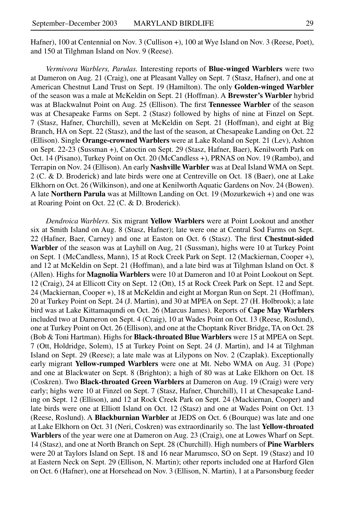Hafner), 100 at Centennial on Nov. 3 (Cullison +), 100 at Wye Island on Nov. 3 (Reese, Poet), and 150 at Tilghman Island on Nov. 9 (Reese).

*Vermivora Warblers, Parulas.* Interesting reports of **Blue-winged Warblers** were two at Dameron on Aug. 21 (Craig), one at Pleasant Valley on Sept. 7 (Stasz, Hafner), and one at American Chestnut Land Trust on Sept. 19 (Hamilton). The only **Golden-winged Warbler** of the season was a male at McKeldin on Sept. 21 (Hoffman). A **Brewster's Warbler** hybrid was at Blackwalnut Point on Aug. 25 (Ellison). The first **Tennessee Warbler** of the season was at Chesapeake Farms on Sept. 2 (Stasz) followed by highs of nine at Finzel on Sept. 7 (Stasz, Hafner, Churchill), seven at McKeldin on Sept. 21 (Hoffman), and eight at Big Branch, HA on Sept. 22 (Stasz), and the last of the season, at Chesapeake Landing on Oct. 22 (Ellison). Single **Orange-crowned Warblers** were at Lake Roland on Sept. 21 (Lev), Ashton on Sept. 22-23 (Sussman +), Catoctin on Sept. 29 (Stasz, Hafner, Baer), Kenilworth Park on Oct. 14 (Pisano), Turkey Point on Oct. 20 (McCandless +), PRNAS on Nov. 19 (Rambo), and Terrapin on Nov. 24 (Ellison). An early **Nashville Warbler** was at Deal Island WMA on Sept. 2 (C. & D. Broderick) and late birds were one at Centreville on Oct. 18 (Baer), one at Lake Elkhorn on Oct. 26 (Wilkinson), and one at Kenilworth Aquatic Gardens on Nov. 24 (Bowen). A late **Northern Parula** was at Milltown Landing on Oct. 19 (Mozurkewich +) and one was at Roaring Point on Oct. 22 (C. & D. Broderick).

*Dendroica Warblers.* Six migrant **Yellow Warblers** were at Point Lookout and another six at Smith Island on Aug. 8 (Stasz, Hafner); late were one at Central Sod Farms on Sept. 22 (Hafner, Baer, Carney) and one at Easton on Oct. 6 (Stasz). The first **Chestnut-sided Warbler** of the season was at Layhill on Aug, 21 (Sussman), highs were 10 at Turkey Point on Sept. 1 (McCandless, Mann), 15 at Rock Creek Park on Sept. 12 (Mackiernan, Cooper +), and 12 at McKeldin on Sept. 21 (Hoffman), and a late bird was at Tilghman Island on Oct. 8 (Allen). Highs for **Magnolia Warblers** were 10 at Dameron and 10 at Point Lookout on Sept. 12 (Craig), 24 at Ellicott City on Sept. 12 (Ott), 15 at Rock Creek Park on Sept. 12 and Sept. 24 (Mackiernan, Cooper +), 18 at McKeldin and eight at Morgan Run on Sept. 21 (Hoffman), 20 at Turkey Point on Sept. 24 (J. Martin), and 30 at MPEA on Sept. 27 (H. Holbrook); a late bird was at Lake Kittamaqundi on Oct. 26 (Marcus James). Reports of **Cape May Warblers** included two at Dameron on Sept. 4 (Craig), 10 at Wades Point on Oct. 13 (Reese, Roslund), one at Turkey Point on Oct. 26 (Ellison), and one at the Choptank River Bridge, TA on Oct. 28 (Bob & Toni Hartman). Highs for **Black-throated Blue Warblers** were 15 at MPEA on Sept. 7 (Ott, Holdridge, Solem), 15 at Turkey Point on Sept. 24 (J. Martin), and 14 at Tilghman Island on Sept. 29 (Reese); a late male was at Lilypons on Nov. 2 (Czaplak). Exceptionally early migrant **Yellow-rumped Warblers** were one at Mt. Nebo WMA on Aug. 31 (Pope) and one at Blackwater on Sept. 8 (Brighton); a high of 80 was at Lake Elkhorn on Oct. 18 (Coskren). Two **Black-throated Green Warblers** at Dameron on Aug. 19 (Craig) were very early; highs were 10 at Finzel on Sept. 7 (Stasz, Hafner, Churchill), 11 at Chesapeake Landing on Sept. 12 (Ellison), and 12 at Rock Creek Park on Sept. 24 (Mackiernan, Cooper) and late birds were one at Elliott Island on Oct. 12 (Stasz) and one at Wades Point on Oct. 13 (Reese, Roslund). A **Blackburnian Warbler** at JEDS on Oct. 6 (Bourque) was late and one at Lake Elkhorn on Oct. 31 (Neri, Coskren) was extraordinarily so. The last **Yellow-throated Warblers** of the year were one at Dameron on Aug. 23 (Craig), one at Lowes Wharf on Sept. 14 (Stasz), and one at North Branch on Sept. 28 (Churchill). High numbers of **Pine Warblers** were 20 at Taylors Island on Sept. 18 and 16 near Marumsco, SO on Sept. 19 (Stasz) and 10 at Eastern Neck on Sept. 29 (Ellison, N. Martin); other reports included one at Harford Glen on Oct. 6 (Hafner), one at Horsehead on Nov. 3 (Ellison, N. Martin), 1 at a Parsonsburg feeder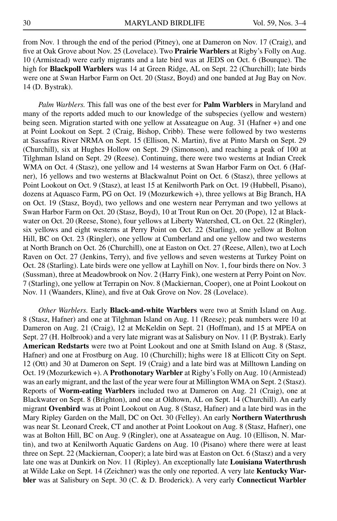from Nov. 1 through the end of the period (Pitney), one at Dameron on Nov. 17 (Craig), and five at Oak Grove about Nov. 25 (Lovelace). Two **Prairie Warblers** at Rigby's Folly on Aug. 10 (Armistead) were early migrants and a late bird was at JEDS on Oct. 6 (Bourque). The high for **Blackpoll Warblers** was 14 at Green Ridge, AL on Sept. 22 (Churchill); late birds were one at Swan Harbor Farm on Oct. 20 (Stasz, Boyd) and one banded at Jug Bay on Nov. 14 (D. Bystrak).

*Palm Warblers.* This fall was one of the best ever for **Palm Warblers** in Maryland and many of the reports added much to our knowledge of the subspecies (yellow and western) being seen. Migration started with one yellow at Assateague on Aug. 31 (Hafner +) and one at Point Lookout on Sept. 2 (Craig, Bishop, Cribb). These were followed by two westerns at Sassafras River NRMA on Sept. 15 (Ellison, N. Martin), five at Pinto Marsh on Sept. 29 (Churchill), six at Hughes Hollow on Sept. 29 (Simonson), and reaching a peak of 100 at Tilghman Island on Sept. 29 (Reese). Continuing, there were two westerns at Indian Creek WMA on Oct. 4 (Stasz), one yellow and 14 westerns at Swan Harbor Farm on Oct. 6 (Hafner), 16 yellows and two westerns at Blackwalnut Point on Oct. 6 (Stasz), three yellows at Point Lookout on Oct. 9 (Stasz), at least 15 at Kenilworth Park on Oct. 19 (Hubbell, Pisano), dozens at Aquasco Farm, PG on Oct. 19 (Mozurkewich +), three yellows at Big Branch, HA on Oct. 19 (Stasz, Boyd), two yellows and one western near Perryman and two yellows at Swan Harbor Farm on Oct. 20 (Stasz, Boyd), 10 at Trout Run on Oct. 20 (Pope), 12 at Blackwater on Oct. 20 (Reese, Stone), four yellows at Liberty Watershed, CL on Oct. 22 (Ringler), six yellows and eight westerns at Perry Point on Oct. 22 (Starling), one yellow at Bolton Hill, BC on Oct. 23 (Ringler), one yellow at Cumberland and one yellow and two westerns at North Branch on Oct. 26 (Churchill), one at Easton on Oct. 27 (Reese, Allen), two at Loch Raven on Oct. 27 (Jenkins, Terry), and five yellows and seven westerns at Turkey Point on Oct. 28 (Starling). Late birds were one yellow at Layhill on Nov. 1, four birds there on Nov. 3 (Sussman), three at Meadowbrook on Nov. 2 (Harry Fink), one western at Perry Point on Nov. 7 (Starling), one yellow at Terrapin on Nov. 8 (Mackiernan, Cooper), one at Point Lookout on Nov. 11 (Waanders, Kline), and five at Oak Grove on Nov. 28 (Lovelace).

*Other Warblers.* Early **Black-and-white Warblers** were two at Smith Island on Aug. 8 (Stasz, Hafner) and one at Tilghman Island on Aug. 11 (Reese); peak numbers were 10 at Dameron on Aug. 21 (Craig), 12 at McKeldin on Sept. 21 (Hoffman), and 15 at MPEA on Sept. 27 (H. Holbrook) and a very late migrant was at Salisbury on Nov. 11 (P. Bystrak). Early **American Redstarts** were two at Point Lookout and one at Smith Island on Aug. 8 (Stasz, Hafner) and one at Frostburg on Aug. 10 (Churchill); highs were 18 at Ellicott City on Sept. 12 (Ott) and 30 at Dameron on Sept. 19 (Craig) and a late bird was at Milltown Landing on Oct. 19 (Mozurkewich +). A **Prothonotary Warbler** at Rigby's Folly on Aug. 10 (Armistead) was an early migrant, and the last of the year were four at Millington WMA on Sept. 2 (Stasz). Reports of **Worm-eating Warblers** included two at Dameron on Aug. 21 (Craig), one at Blackwater on Sept. 8 (Brighton), and one at Oldtown, AL on Sept. 14 (Churchill). An early migrant **Ovenbird** was at Point Lookout on Aug. 8 (Stasz, Hafner) and a late bird was in the Mary Ripley Garden on the Mall, DC on Oct. 30 (Felley). An early **Northern Waterthrush** was near St. Leonard Creek, CT and another at Point Lookout on Aug. 8 (Stasz, Hafner), one was at Bolton Hill, BC on Aug. 9 (Ringler), one at Assateague on Aug. 10 (Ellison, N. Martin), and two at Kenilworth Aquatic Gardens on Aug. 10 (Pisano) where there were at least three on Sept. 22 (Mackiernan, Cooper); a late bird was at Easton on Oct. 6 (Stasz) and a very late one was at Dunkirk on Nov. 11 (Ripley). An exceptionally late **Louisiana Waterthrush** at Wilde Lake on Sept. 14 (Zeichner) was the only one reported. A very late **Kentucky Warbler** was at Salisbury on Sept. 30 (C. & D. Broderick). A very early **Connecticut Warbler**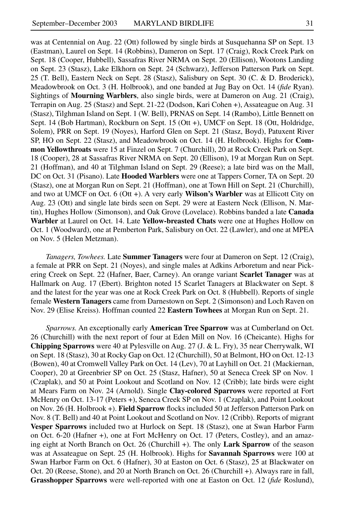was at Centennial on Aug. 22 (Ott) followed by single birds at Susquehanna SP on Sept. 13 (Eastman), Laurel on Sept. 14 (Robbins), Dameron on Sept. 17 (Craig), Rock Creek Park on Sept. 18 (Cooper, Hubbell), Sassafras River NRMA on Sept. 20 (Ellison), Wootons Landing on Sept. 23 (Stasz), Lake Elkhorn on Sept. 24 (Schwarz), Jefferson Patterson Park on Sept. 25 (T. Bell), Eastern Neck on Sept. 28 (Stasz), Salisbury on Sept. 30 (C. & D. Broderick), Meadowbrook on Oct. 3 (H. Holbrook), and one banded at Jug Bay on Oct. 14 (*fide* Ryan). Sightings of **Mourning Warblers**, also single birds, were at Dameron on Aug. 21 (Craig), Terrapin on Aug. 25 (Stasz) and Sept. 21-22 (Dodson, Kari Cohen +), Assateague on Aug. 31 (Stasz), Tilghman Island on Sept. 1 (W. Bell), PRNAS on Sept. 14 (Rambo), Little Bennett on Sept. 14 (Bob Hartman), Rockburn on Sept. 15 (Ott +), UMCF on Sept. 18 (Ott, Holdridge, Solem), PRR on Sept. 19 (Noyes), Harford Glen on Sept. 21 (Stasz, Boyd), Patuxent River SP, HO on Sept. 22 (Stasz), and Meadowbrook on Oct. 14 (H. Holbrook). Highs for **Common Yellowthroats** were 15 at Finzel on Sept. 7 (Churchill), 20 at Rock Creek Park on Sept. 18 (Cooper), 28 at Sassafras River NRMA on Sept. 20 (Ellison), 19 at Morgan Run on Sept. 21 (Hoffman), and 40 at Tilghman Island on Sept. 29 (Reese); a late bird was on the Mall, DC on Oct. 31 (Pisano). Late **Hooded Warblers** were one at Tappers Corner, TA on Sept. 20

(Stasz), one at Morgan Run on Sept. 21 (Hoffman), one at Town Hill on Sept. 21 (Churchill), and two at UMCF on Oct. 6 (Ott +). A very early **Wilson's Warbler** was at Ellicott City on Aug. 23 (Ott) and single late birds seen on Sept. 29 were at Eastern Neck (Ellison, N. Martin), Hughes Hollow (Simonson), and Oak Grove (Lovelace). Robbins banded a late **Canada Warbler** at Laurel on Oct. 14. Late **Yellow-breasted Chats** were one at Hughes Hollow on Oct. 1 (Woodward), one at Pemberton Park, Salisbury on Oct. 22 (Lawler), and one at MPEA on Nov. 5 (Helen Metzman).

*Tanagers, Towhees.* Late **Summer Tanagers** were four at Dameron on Sept. 12 (Craig), a female at PRR on Sept. 21 (Noyes), and single males at Adkins Arboretum and near Pickering Creek on Sept. 22 (Hafner, Baer, Carney). An orange variant **Scarlet Tanager** was at Hallmark on Aug. 17 (Ebert). Brighton noted 15 Scarlet Tanagers at Blackwater on Sept. 8 and the latest for the year was one at Rock Creek Park on Oct. 8 (Hubbell). Reports of single female **Western Tanagers** came from Darnestown on Sept. 2 (Simonson) and Loch Raven on Nov. 29 (Elise Kreiss). Hoffman counted 22 **Eastern Towhees** at Morgan Run on Sept. 21.

*Sparrows.* An exceptionally early **American Tree Sparrow** was at Cumberland on Oct. 26 (Churchill) with the next report of four at Eden Mill on Nov. 16 (Cheicante). Highs for **Chipping Sparrows** were 40 at Pylesville on Aug. 27 (J. & L. Fry), 35 near Cherrywalk, WI on Sept. 18 (Stasz), 30 at Rocky Gap on Oct. 12 (Churchill), 50 at Belmont, HO on Oct. 12-13 (Bowen), 40 at Cromwell Valley Park on Oct. 14 (Lev), 70 at Layhill on Oct. 21 (Mackiernan, Cooper), 20 at Greenbrier SP on Oct. 25 (Stasz, Hafner), 50 at Seneca Creek SP on Nov. 1 (Czaplak), and 50 at Point Lookout and Scotland on Nov. 12 (Cribb); late birds were eight at Mears Farm on Nov. 24 (Arnold). Single **Clay-colored Sparrows** were reported at Fort McHenry on Oct. 13-17 (Peters +), Seneca Creek SP on Nov. 1 (Czaplak), and Point Lookout on Nov. 26 (H. Holbrook +). **Field Sparrow** flocks included 50 at Jefferson Patterson Park on Nov. 8 (T. Bell) and 40 at Point Lookout and Scotland on Nov. 12 (Cribb). Reports of migrant **Vesper Sparrows** included two at Hurlock on Sept. 18 (Stasz), one at Swan Harbor Farm on Oct. 6-20 (Hafner +), one at Fort McHenry on Oct. 17 (Peters, Costley), and an amazing eight at North Branch on Oct. 26 (Churchill +). The only **Lark Sparrow** of the season was at Assateague on Sept. 25 (H. Holbrook). Highs for **Savannah Sparrows** were 100 at Swan Harbor Farm on Oct. 6 (Hafner), 30 at Easton on Oct. 6 (Stasz), 25 at Blackwater on Oct. 20 (Reese, Stone), and 20 at North Branch on Oct. 26 (Churchill +). Always rare in fall, **Grasshopper Sparrows** were well-reported with one at Easton on Oct. 12 (*fide* Roslund),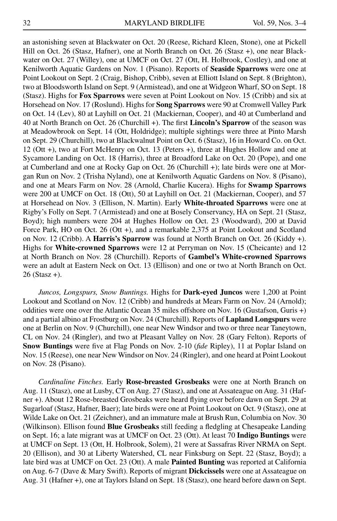an astonishing seven at Blackwater on Oct. 20 (Reese, Richard Kleen, Stone), one at Pickell Hill on Oct. 26 (Stasz, Hafner), one at North Branch on Oct. 26 (Stasz +), one near Blackwater on Oct. 27 (Willey), one at UMCF on Oct. 27 (Ott, H. Holbrook, Costley), and one at Kenilworth Aquatic Gardens on Nov. 1 (Pisano). Reports of **Seaside Sparrows** were one at Point Lookout on Sept. 2 (Craig, Bishop, Cribb), seven at Elliott Island on Sept. 8 (Brighton), two at Bloodsworth Island on Sept. 9 (Armistead), and one at Widgeon Wharf, SO on Sept. 18 (Stasz). Highs for **Fox Sparrows** were seven at Point Lookout on Nov. 15 (Cribb) and six at Horsehead on Nov. 17 (Roslund). Highs for **Song Sparrows** were 90 at Cromwell Valley Park on Oct. 14 (Lev), 80 at Layhill on Oct. 21 (Mackiernan, Cooper), and 40 at Cumberland and 40 at North Branch on Oct. 26 (Churchill +). The first **Lincoln's Sparrow** of the season was at Meadowbrook on Sept. 14 (Ott, Holdridge); multiple sightings were three at Pinto Marsh on Sept. 29 (Churchill), two at Blackwalnut Point on Oct. 6 (Stasz), 16 in Howard Co. on Oct. 12 (Ott +), two at Fort McHenry on Oct. 13 (Peters +), three at Hughes Hollow and one at Sycamore Landing on Oct. 18 (Harris), three at Broadford Lake on Oct. 20 (Pope), and one at Cumberland and one at Rocky Gap on Oct. 26 (Churchill +); late birds were one at Morgan Run on Nov. 2 (Trisha Nyland), one at Kenilworth Aquatic Gardens on Nov. 8 (Pisano), and one at Mears Farm on Nov. 28 (Arnold, Charlie Kucera). Highs for **Swamp Sparrows** were 200 at UMCF on Oct. 18 (Ott), 50 at Layhill on Oct. 21 (Mackiernan, Cooper), and 57 at Horsehead on Nov. 3 (Ellison, N. Martin). Early **White-throated Sparrows** were one at Rigby's Folly on Sept. 7 (Armistead) and one at Bosely Conservancy, HA on Sept. 21 (Stasz, Boyd); high numbers were 204 at Hughes Hollow on Oct. 23 (Woodward), 200 at David Force Park, HO on Oct. 26 (Ott +), and a remarkable 2,375 at Point Lookout and Scotland on Nov. 12 (Cribb). A **Harris's Sparrow** was found at North Branch on Oct. 26 (Kiddy +). Highs for **White-crowned Sparrows** were 12 at Perryman on Nov. 15 (Cheicante) and 12 at North Branch on Nov. 28 (Churchill). Reports of **Gambel's White-crowned Sparrows** were an adult at Eastern Neck on Oct. 13 (Ellison) and one or two at North Branch on Oct. 26 (Stasz +).

*Juncos, Longspurs, Snow Buntings.* Highs for **Dark-eyed Juncos** were 1,200 at Point Lookout and Scotland on Nov. 12 (Cribb) and hundreds at Mears Farm on Nov. 24 (Arnold); oddities were one over the Atlantic Ocean 35 miles offshore on Nov. 16 (Gustafson, Guris +) and a partial albino at Frostburg on Nov. 24 (Churchill). Reports of **Lapland Longspurs** were one at Berlin on Nov. 9 (Churchill), one near New Windsor and two or three near Taneytown, CL on Nov. 24 (Ringler), and two at Pleasant Valley on Nov. 28 (Gary Felton). Reports of **Snow Buntings** were five at Flag Ponds on Nov. 2-10 (*fide* Ripley), 11 at Poplar Island on Nov. 15 (Reese), one near New Windsor on Nov. 24 (Ringler), and one heard at Point Lookout on Nov. 28 (Pisano).

*Cardinaline Finches.* Early **Rose-breasted Grosbeaks** were one at North Branch on Aug. 11 (Stasz), one at Lusby, CT on Aug. 27 (Stasz), and one at Assateague on Aug. 31 (Hafner +). About 12 Rose-breasted Grosbeaks were heard flying over before dawn on Sept. 29 at Sugarloaf (Stasz, Hafner, Baer); late birds were one at Point Lookout on Oct. 9 (Stasz), one at Wilde Lake on Oct. 21 (Zeichner), and an immature male at Brush Run, Columbia on Nov. 30 (Wilkinson). Ellison found **Blue Grosbeaks** still feeding a fledgling at Chesapeake Landing on Sept. 16; a late migrant was at UMCF on Oct. 23 (Ott). At least 70 **Indigo Buntings** were at UMCF on Sept. 13 (Ott, H. Holbrook, Solem), 21 were at Sassafras River NRMA on Sept. 20 (Ellison), and 30 at Liberty Watershed, CL near Finksburg on Sept. 22 (Stasz, Boyd); a late bird was at UMCF on Oct. 23 (Ott). A male **Painted Bunting** was reported at California on Aug. 6-7 (Dave & Mary Swift). Reports of migrant **Dickcissels** were one at Assateague on Aug. 31 (Hafner +), one at Taylors Island on Sept. 18 (Stasz), one heard before dawn on Sept.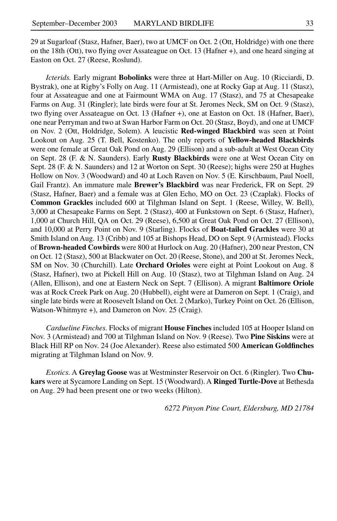29 at Sugarloaf (Stasz, Hafner, Baer), two at UMCF on Oct. 2 (Ott, Holdridge) with one there on the 18th (Ott), two flying over Assateague on Oct. 13 (Hafner +), and one heard singing at Easton on Oct. 27 (Reese, Roslund).

*Icterids.* Early migrant **Bobolinks** were three at Hart-Miller on Aug. 10 (Ricciardi, D. Bystrak), one at Rigby's Folly on Aug. 11 (Armistead), one at Rocky Gap at Aug. 11 (Stasz), four at Assateague and one at Fairmount WMA on Aug. 17 (Stasz), and 75 at Chesapeake Farms on Aug. 31 (Ringler); late birds were four at St. Jeromes Neck, SM on Oct. 9 (Stasz), two flying over Assateague on Oct. 13 (Hafner +), one at Easton on Oct. 18 (Hafner, Baer), one near Perryman and two at Swan Harbor Farm on Oct. 20 (Stasz, Boyd), and one at UMCF on Nov. 2 (Ott, Holdridge, Solem). A leucistic **Red-winged Blackbird** was seen at Point Lookout on Aug. 25 (T. Bell, Kostenko). The only reports of **Yellow-headed Blackbirds** were one female at Great Oak Pond on Aug. 29 (Ellison) and a sub-adult at West Ocean City on Sept. 28 (F. & N. Saunders). Early **Rusty Blackbirds** were one at West Ocean City on Sept. 28 (F. & N. Saunders) and 12 at Worton on Sept. 30 (Reese); highs were 250 at Hughes Hollow on Nov. 3 (Woodward) and 40 at Loch Raven on Nov. 5 (E. Kirschbaum, Paul Noell, Gail Frantz). An immature male **Brewer's Blackbird** was near Frederick, FR on Sept. 29 (Stasz, Hafner, Baer) and a female was at Glen Echo, MO on Oct. 23 (Czaplak). Flocks of **Common Grackles** included 600 at Tilghman Island on Sept. 1 (Reese, Willey, W. Bell), 3,000 at Chesapeake Farms on Sept. 2 (Stasz), 400 at Funkstown on Sept. 6 (Stasz, Hafner), 1,000 at Church Hill, QA on Oct. 29 (Reese), 6,500 at Great Oak Pond on Oct. 27 (Ellison), and 10,000 at Perry Point on Nov. 9 (Starling). Flocks of **Boat-tailed Grackles** were 30 at Smith Island on Aug. 13 (Cribb) and 105 at Bishops Head, DO on Sept. 9 (Armistead). Flocks of **Brown-headed Cowbirds** were 800 at Hurlock on Aug. 20 (Hafner), 200 near Preston, CN on Oct. 12 (Stasz), 500 at Blackwater on Oct. 20 (Reese, Stone), and 200 at St. Jeromes Neck, SM on Nov. 30 (Churchill). Late **Orchard Orioles** were eight at Point Lookout on Aug. 8 (Stasz, Hafner), two at Pickell Hill on Aug. 10 (Stasz), two at Tilghman Island on Aug. 24 (Allen, Ellison), and one at Eastern Neck on Sept. 7 (Ellison). A migrant **Baltimore Oriole** was at Rock Creek Park on Aug. 20 (Hubbell), eight were at Dameron on Sept. 1 (Craig), and single late birds were at Roosevelt Island on Oct. 2 (Marko), Turkey Point on Oct. 26 (Ellison, Watson-Whitmyre +), and Dameron on Nov. 25 (Craig).

*Cardueline Finches.* Flocks of migrant **House Finches** included 105 at Hooper Island on Nov. 3 (Armistead) and 700 at Tilghman Island on Nov. 9 (Reese). Two **Pine Siskins** were at Black Hill RP on Nov. 24 (Joe Alexander). Reese also estimated 500 **American Goldfinches** migrating at Tilghman Island on Nov. 9.

*Exotics.* A **Greylag Goose** was at Westminster Reservoir on Oct. 6 (Ringler). Two **Chukars** were at Sycamore Landing on Sept. 15 (Woodward). A **Ringed Turtle-Dove** at Bethesda on Aug. 29 had been present one or two weeks (Hilton).

*6272 Pinyon Pine Court, Eldersburg, MD 21784*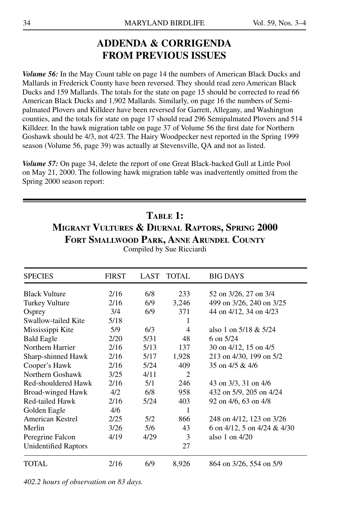## **Addenda & Corrigenda from Previous Issues**

*Volume 56:* In the May Count table on page 14 the numbers of American Black Ducks and Mallards in Frederick County have been reversed. They should read zero American Black Ducks and 159 Mallards. The totals for the state on page 15 should be corrected to read 66 American Black Ducks and 1,902 Mallards. Similarly, on page 16 the numbers of Semipalmated Plovers and Killdeer have been reversed for Garrett, Allegany, and Washington counties, and the totals for state on page 17 should read 296 Semipalmated Plovers and 514 Killdeer. In the hawk migration table on page 37 of Volume 56 the first date for Northern Goshawk should be 4/3, not 4/23. The Hairy Woodpecker nest reported in the Spring 1999 season (Volume 56, page 39) was actually at Stevensville, QA and not as listed.

*Volume 57:* On page 34, delete the report of one Great Black-backed Gull at Little Pool on May 21, 2000. The following hawk migration table was inadvertently omitted from the Spring 2000 season report:

### **Table 1:**

**Migrant Vultures & Diurnal Raptors, Spring 2000 Fort Smallwood Park, Anne Arundel County**

| <b>SPECIES</b>              | <b>FIRST</b> | LAST | TOTAL | <b>BIG DAYS</b>             |
|-----------------------------|--------------|------|-------|-----------------------------|
| <b>Black Vulture</b>        | 2/16         | 6/8  | 233   | 52 on 3/26, 27 on 3/4       |
| Turkey Vulture              | 2/16         | 6/9  | 3,246 | 499 on 3/26, 240 on 3/25    |
| Osprey                      | 3/4          | 6/9  | 371   | 44 on 4/12, 34 on 4/23      |
| Swallow-tailed Kite         | 5/18         |      | 1     |                             |
| Mississippi Kite            | 5/9          | 6/3  | 4     | also 1 on $5/18 \& 5/24$    |
| <b>Bald Eagle</b>           | 2/20         | 5/31 | 48    | 6 on $5/24$                 |
| Northern Harrier            | 2/16         | 5/13 | 137   | 30 on 4/12, 15 on 4/5       |
| Sharp-shinned Hawk          | 2/16         | 5/17 | 1,928 | 213 on 4/30, 199 on 5/2     |
| Cooper's Hawk               | 2/16         | 5/24 | 409   | 35 on 4/5 & 4/6             |
| Northern Goshawk            | 3/25         | 4/11 | 2     |                             |
| Red-shouldered Hawk         | 2/16         | 5/1  | 246   | 43 on 3/3, 31 on 4/6        |
| Broad-winged Hawk           | 4/2          | 6/8  | 958   | 432 on 5/9, 205 on 4/24     |
| Red-tailed Hawk             | 2/16         | 5/24 | 403   | 92 on 4/6, 63 on 4/8        |
| Golden Eagle                | 4/6          |      | 1     |                             |
| American Kestrel            | 2/25         | 5/2  | 866   | 248 on 4/12, 123 on 3/26    |
| Merlin                      | 3/26         | 5/6  | 43    | 6 on 4/12, 5 on 4/24 & 4/30 |
| Peregrine Falcon            | 4/19         | 4/29 | 3     | also 1 on $4/20$            |
| <b>Unidentified Raptors</b> |              |      | 27    |                             |
| TOTAL                       | 2/16         | 6/9  | 8,926 | 864 on 3/26, 554 on 5/9     |

Compiled by Sue Ricciardi

*402.2 hours of observation on 83 days.*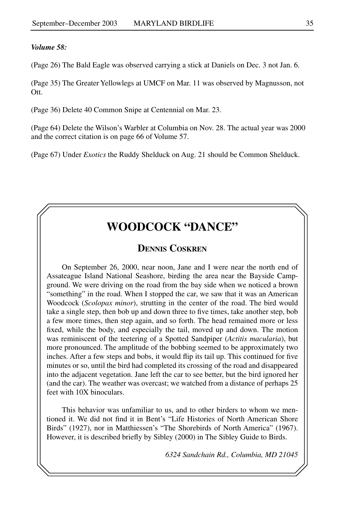#### *Volume 58:*

(Page 26) The Bald Eagle was observed carrying a stick at Daniels on Dec. 3 not Jan. 6.

(Page 35) The Greater Yellowlegs at UMCF on Mar. 11 was observed by Magnusson, not Ott.

(Page 36) Delete 40 Common Snipe at Centennial on Mar. 23.

(Page 64) Delete the Wilson's Warbler at Columbia on Nov. 28. The actual year was 2000 and the correct citation is on page 66 of Volume 57.

(Page 67) Under *Exotics* the Ruddy Shelduck on Aug. 21 should be Common Shelduck.

## **Woodcock "Dance"**

#### **Dennis Coskren**

On September 26, 2000, near noon, Jane and I were near the north end of Assateague Island National Seashore, birding the area near the Bayside Campground. We were driving on the road from the bay side when we noticed a brown "something" in the road. When I stopped the car, we saw that it was an American Woodcock (*Scolopax minor*), strutting in the center of the road. The bird would take a single step, then bob up and down three to five times, take another step, bob a few more times, then step again, and so forth. The head remained more or less fixed, while the body, and especially the tail, moved up and down. The motion was reminiscent of the teetering of a Spotted Sandpiper (*Actitis macularia*), but more pronounced. The amplitude of the bobbing seemed to be approximately two inches. After a few steps and bobs, it would flip its tail up. This continued for five minutes or so, until the bird had completed its crossing of the road and disappeared into the adjacent vegetation. Jane left the car to see better, but the bird ignored her (and the car). The weather was overcast; we watched from a distance of perhaps 25 feet with 10X binoculars.

This behavior was unfamiliar to us, and to other birders to whom we mentioned it. We did not find it in Bent's "Life Histories of North American Shore Birds" (1927), nor in Matthiessen's "The Shorebirds of North America" (1967). However, it is described briefly by Sibley (2000) in The Sibley Guide to Birds.

*6324 Sandchain Rd., Columbia, MD 21045*